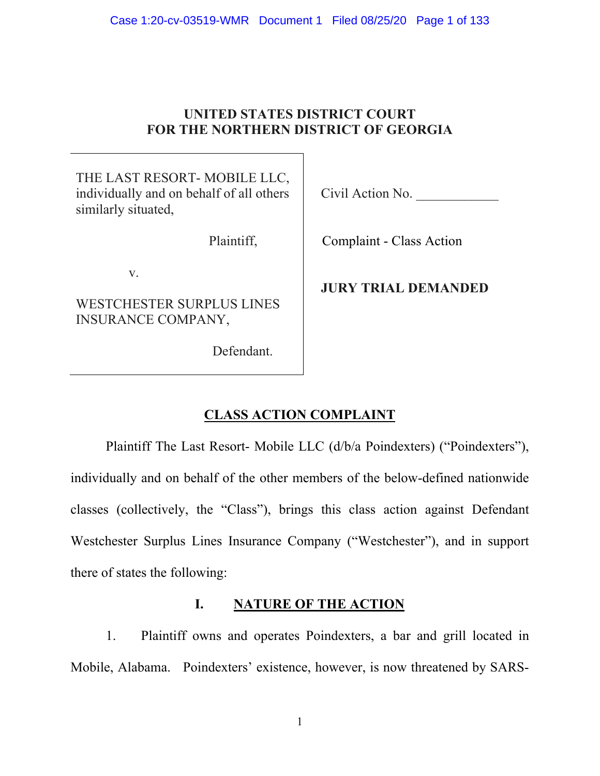### **UNITED STATES DISTRICT COURT FOR THE NORTHERN DISTRICT OF GEORGIA**

THE LAST RESORT- MOBILE LLC, individually and on behalf of all others similarly situated,

Plaintiff,

v.

WESTCHESTER SURPLUS LINES INSURANCE COMPANY,

Defendant.

Civil Action No.

Complaint - Class Action

**JURY TRIAL DEMANDED** 

# **CLASS ACTION COMPLAINT**

Plaintiff The Last Resort- Mobile LLC (d/b/a Poindexters) ("Poindexters"), individually and on behalf of the other members of the below-defined nationwide classes (collectively, the "Class"), brings this class action against Defendant Westchester Surplus Lines Insurance Company ("Westchester"), and in support there of states the following:

## **I. NATURE OF THE ACTION**

1. Plaintiff owns and operates Poindexters, a bar and grill located in Mobile, Alabama. Poindexters' existence, however, is now threatened by SARS-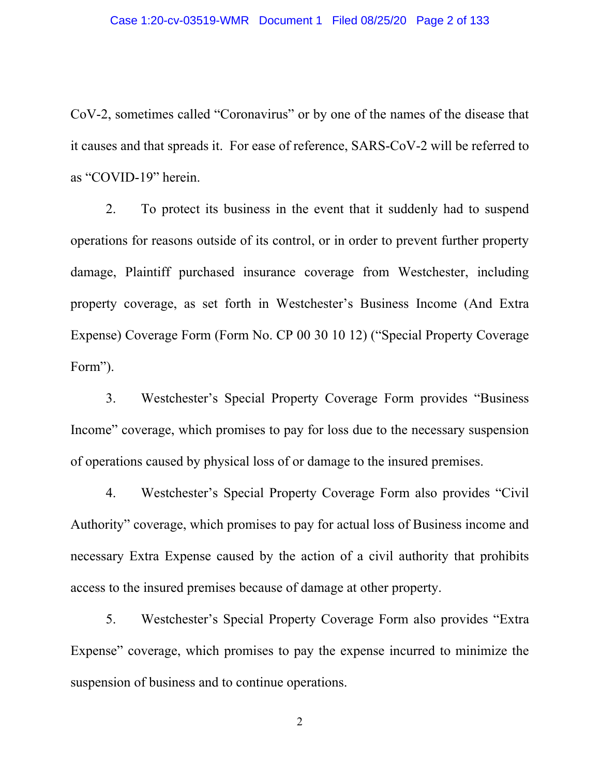CoV-2, sometimes called "Coronavirus" or by one of the names of the disease that it causes and that spreads it. For ease of reference, SARS-CoV-2 will be referred to as "COVID-19" herein.

2. To protect its business in the event that it suddenly had to suspend operations for reasons outside of its control, or in order to prevent further property damage, Plaintiff purchased insurance coverage from Westchester, including property coverage, as set forth in Westchester's Business Income (And Extra Expense) Coverage Form (Form No. CP 00 30 10 12) ("Special Property Coverage Form").

3. Westchester's Special Property Coverage Form provides "Business Income" coverage, which promises to pay for loss due to the necessary suspension of operations caused by physical loss of or damage to the insured premises.

4. Westchester's Special Property Coverage Form also provides "Civil Authority" coverage, which promises to pay for actual loss of Business income and necessary Extra Expense caused by the action of a civil authority that prohibits access to the insured premises because of damage at other property.

5. Westchester's Special Property Coverage Form also provides "Extra Expense" coverage, which promises to pay the expense incurred to minimize the suspension of business and to continue operations.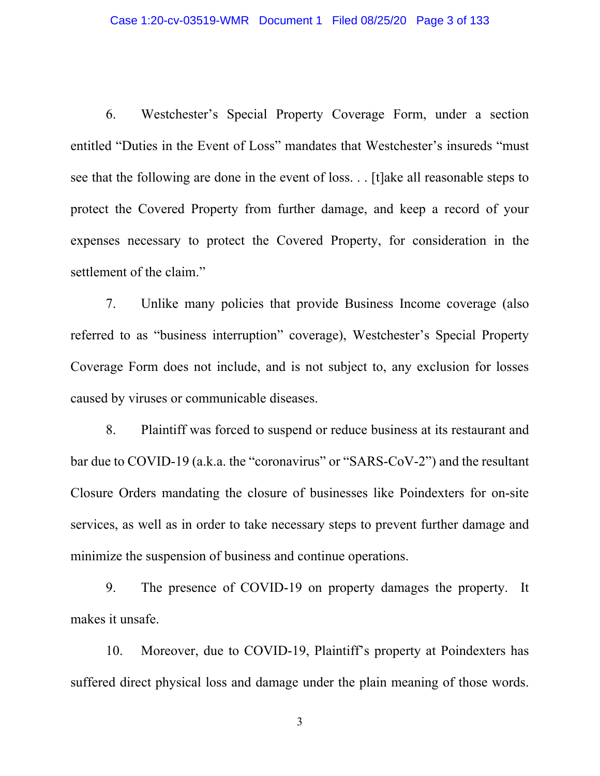6. Westchester's Special Property Coverage Form, under a section entitled "Duties in the Event of Loss" mandates that Westchester's insureds "must see that the following are done in the event of loss. . . [t]ake all reasonable steps to protect the Covered Property from further damage, and keep a record of your expenses necessary to protect the Covered Property, for consideration in the settlement of the claim."

7. Unlike many policies that provide Business Income coverage (also referred to as "business interruption" coverage), Westchester's Special Property Coverage Form does not include, and is not subject to, any exclusion for losses caused by viruses or communicable diseases.

8. Plaintiff was forced to suspend or reduce business at its restaurant and bar due to COVID-19 (a.k.a. the "coronavirus" or "SARS-CoV-2") and the resultant Closure Orders mandating the closure of businesses like Poindexters for on-site services, as well as in order to take necessary steps to prevent further damage and minimize the suspension of business and continue operations.

9. The presence of COVID-19 on property damages the property. It makes it unsafe.

10. Moreover, due to COVID-19, Plaintiff's property at Poindexters has suffered direct physical loss and damage under the plain meaning of those words.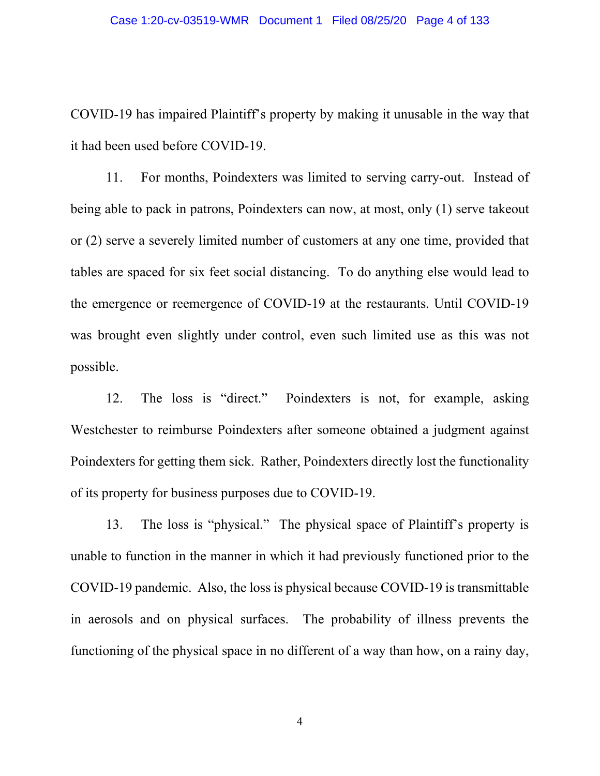COVID-19 has impaired Plaintiff's property by making it unusable in the way that it had been used before COVID-19.

11. For months, Poindexters was limited to serving carry-out. Instead of being able to pack in patrons, Poindexters can now, at most, only (1) serve takeout or (2) serve a severely limited number of customers at any one time, provided that tables are spaced for six feet social distancing. To do anything else would lead to the emergence or reemergence of COVID-19 at the restaurants. Until COVID-19 was brought even slightly under control, even such limited use as this was not possible.

12. The loss is "direct." Poindexters is not, for example, asking Westchester to reimburse Poindexters after someone obtained a judgment against Poindexters for getting them sick. Rather, Poindexters directly lost the functionality of its property for business purposes due to COVID-19.

13. The loss is "physical." The physical space of Plaintiff's property is unable to function in the manner in which it had previously functioned prior to the COVID-19 pandemic. Also, the loss is physical because COVID-19 is transmittable in aerosols and on physical surfaces. The probability of illness prevents the functioning of the physical space in no different of a way than how, on a rainy day,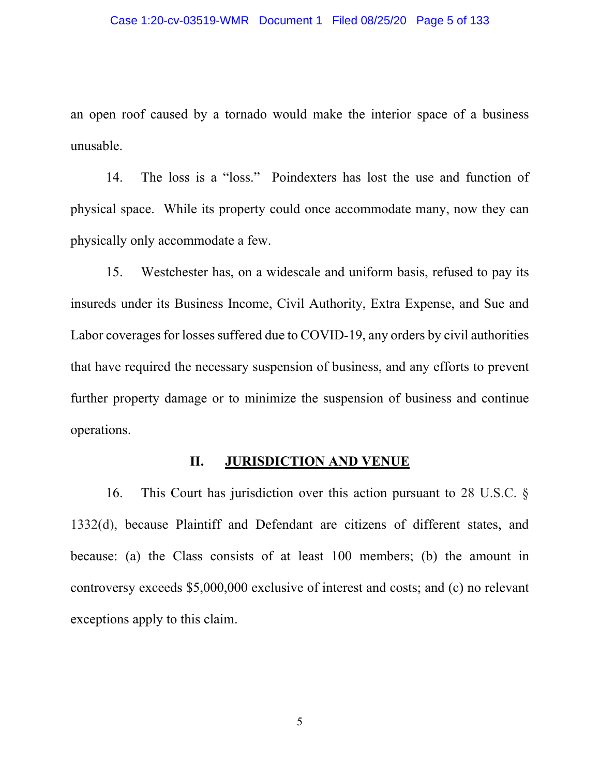an open roof caused by a tornado would make the interior space of a business unusable.

14. The loss is a "loss." Poindexters has lost the use and function of physical space. While its property could once accommodate many, now they can physically only accommodate a few.

15. Westchester has, on a widescale and uniform basis, refused to pay its insureds under its Business Income, Civil Authority, Extra Expense, and Sue and Labor coverages for losses suffered due to COVID-19, any orders by civil authorities that have required the necessary suspension of business, and any efforts to prevent further property damage or to minimize the suspension of business and continue operations.

#### **II.** JURISDICTION AND VENUE

16. This Court has jurisdiction over this action pursuant to 28 U.S.C. § 1332(d), because Plaintiff and Defendant are citizens of different states, and because: (a) the Class consists of at least 100 members; (b) the amount in controversy exceeds \$5,000,000 exclusive of interest and costs; and (c) no relevant exceptions apply to this claim.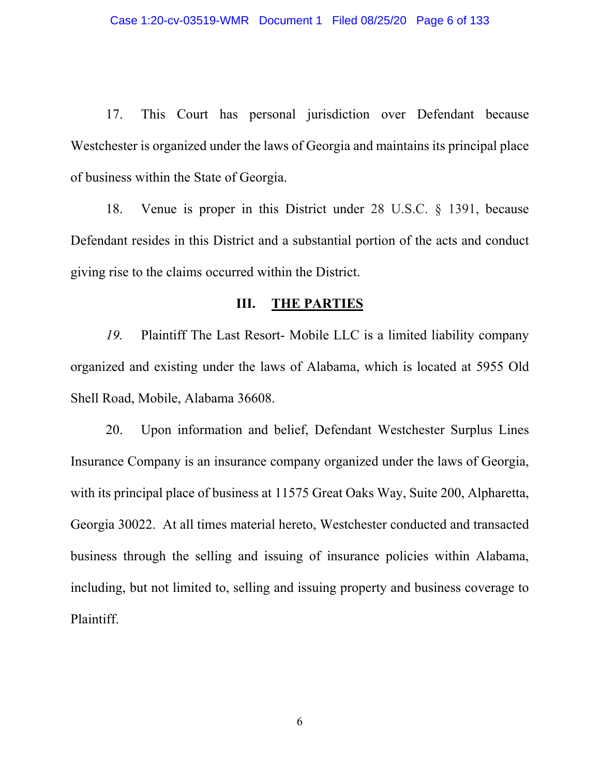17. This Court has personal jurisdiction over Defendant because Westchester is organized under the laws of Georgia and maintains its principal place of business within the State of Georgia.

18. Venue is proper in this District under 28 U.S.C. § 1391, because Defendant resides in this District and a substantial portion of the acts and conduct giving rise to the claims occurred within the District.

#### **III. THE PARTIES**

*19.* Plaintiff The Last Resort- Mobile LLC is a limited liability company organized and existing under the laws of Alabama, which is located at 5955 Old Shell Road, Mobile, Alabama 36608.

20. Upon information and belief, Defendant Westchester Surplus Lines Insurance Company is an insurance company organized under the laws of Georgia, with its principal place of business at 11575 Great Oaks Way, Suite 200, Alpharetta, Georgia 30022. At all times material hereto, Westchester conducted and transacted business through the selling and issuing of insurance policies within Alabama, including, but not limited to, selling and issuing property and business coverage to Plaintiff.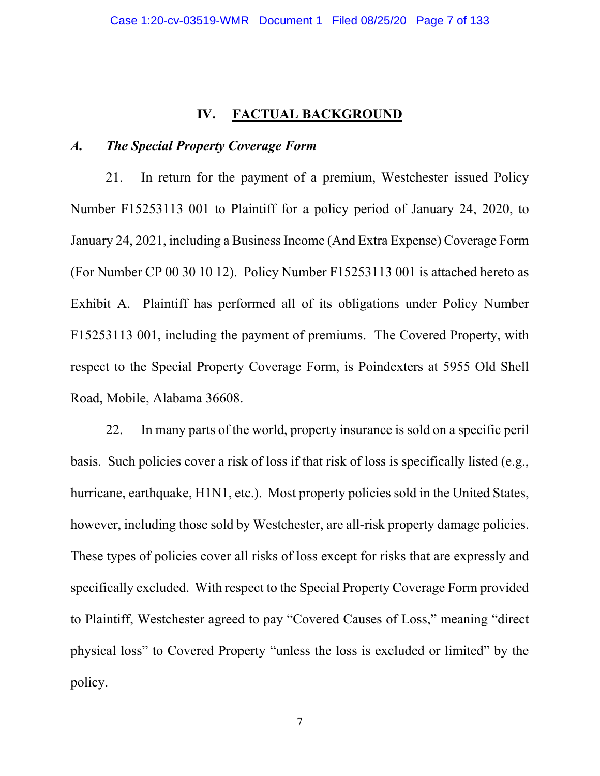#### **IV. FACTUAL BACKGROUND**

#### *A. The Special Property Coverage Form*

21. In return for the payment of a premium, Westchester issued Policy Number F15253113 001 to Plaintiff for a policy period of January 24, 2020, to January 24, 2021, including a Business Income (And Extra Expense) Coverage Form (For Number CP 00 30 10 12). Policy Number F15253113 001 is attached hereto as Exhibit A. Plaintiff has performed all of its obligations under Policy Number F15253113 001, including the payment of premiums. The Covered Property, with respect to the Special Property Coverage Form, is Poindexters at 5955 Old Shell Road, Mobile, Alabama 36608.

22. In many parts of the world, property insurance is sold on a specific peril basis. Such policies cover a risk of loss if that risk of loss is specifically listed (e.g., hurricane, earthquake, H1N1, etc.). Most property policies sold in the United States, however, including those sold by Westchester, are all-risk property damage policies. These types of policies cover all risks of loss except for risks that are expressly and specifically excluded. With respect to the Special Property Coverage Form provided to Plaintiff, Westchester agreed to pay "Covered Causes of Loss," meaning "direct physical loss" to Covered Property "unless the loss is excluded or limited" by the policy.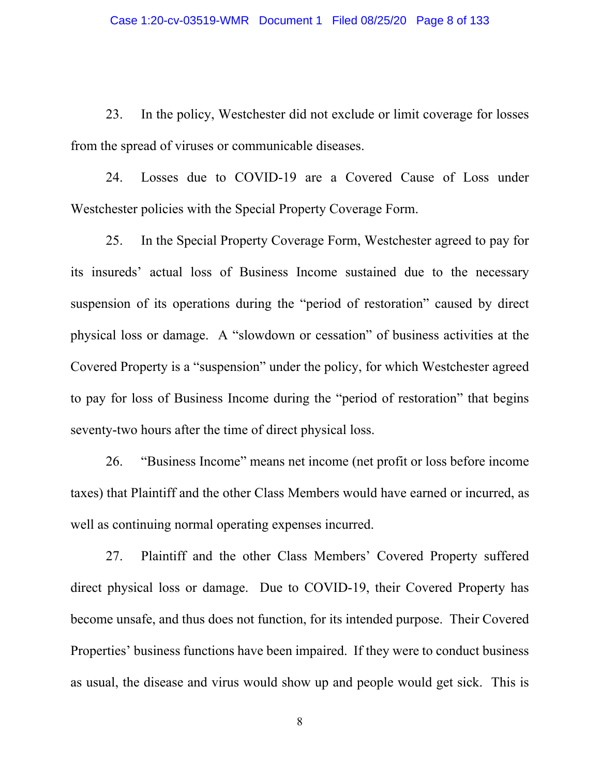23. In the policy, Westchester did not exclude or limit coverage for losses from the spread of viruses or communicable diseases.

24. Losses due to COVID-19 are a Covered Cause of Loss under Westchester policies with the Special Property Coverage Form.

25. In the Special Property Coverage Form, Westchester agreed to pay for its insureds' actual loss of Business Income sustained due to the necessary suspension of its operations during the "period of restoration" caused by direct physical loss or damage. A "slowdown or cessation" of business activities at the Covered Property is a "suspension" under the policy, for which Westchester agreed to pay for loss of Business Income during the "period of restoration" that begins seventy-two hours after the time of direct physical loss.

26. "Business Income" means net income (net profit or loss before income taxes) that Plaintiff and the other Class Members would have earned or incurred, as well as continuing normal operating expenses incurred.

27. Plaintiff and the other Class Members' Covered Property suffered direct physical loss or damage. Due to COVID-19, their Covered Property has become unsafe, and thus does not function, for its intended purpose. Their Covered Properties' business functions have been impaired. If they were to conduct business as usual, the disease and virus would show up and people would get sick. This is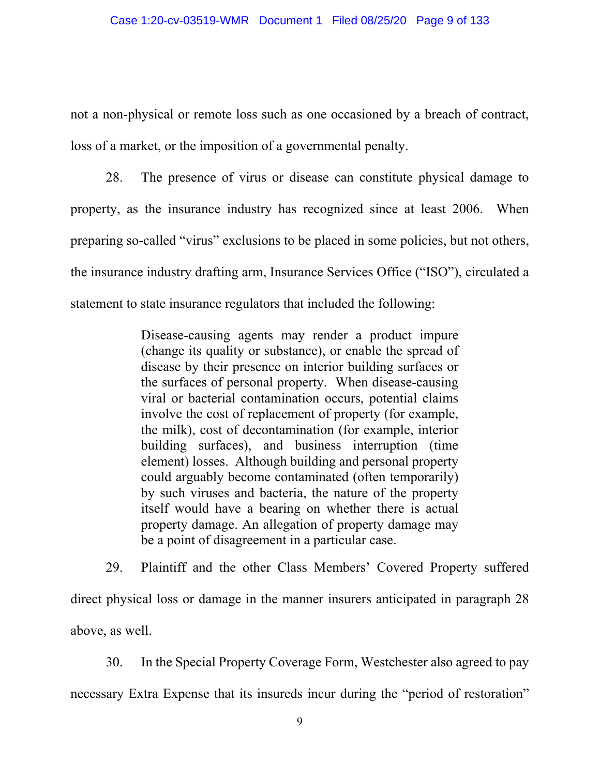not a non-physical or remote loss such as one occasioned by a breach of contract, loss of a market, or the imposition of a governmental penalty.

28. The presence of virus or disease can constitute physical damage to property, as the insurance industry has recognized since at least 2006. When preparing so-called "virus" exclusions to be placed in some policies, but not others, the insurance industry drafting arm, Insurance Services Office ("ISO"), circulated a statement to state insurance regulators that included the following:

> Disease-causing agents may render a product impure (change its quality or substance), or enable the spread of disease by their presence on interior building surfaces or the surfaces of personal property. When disease-causing viral or bacterial contamination occurs, potential claims involve the cost of replacement of property (for example, the milk), cost of decontamination (for example, interior building surfaces), and business interruption (time element) losses. Although building and personal property could arguably become contaminated (often temporarily) by such viruses and bacteria, the nature of the property itself would have a bearing on whether there is actual property damage. An allegation of property damage may be a point of disagreement in a particular case.

29. Plaintiff and the other Class Members' Covered Property suffered direct physical loss or damage in the manner insurers anticipated in paragraph 28 above, as well.

30. In the Special Property Coverage Form, Westchester also agreed to pay necessary Extra Expense that its insureds incur during the "period of restoration"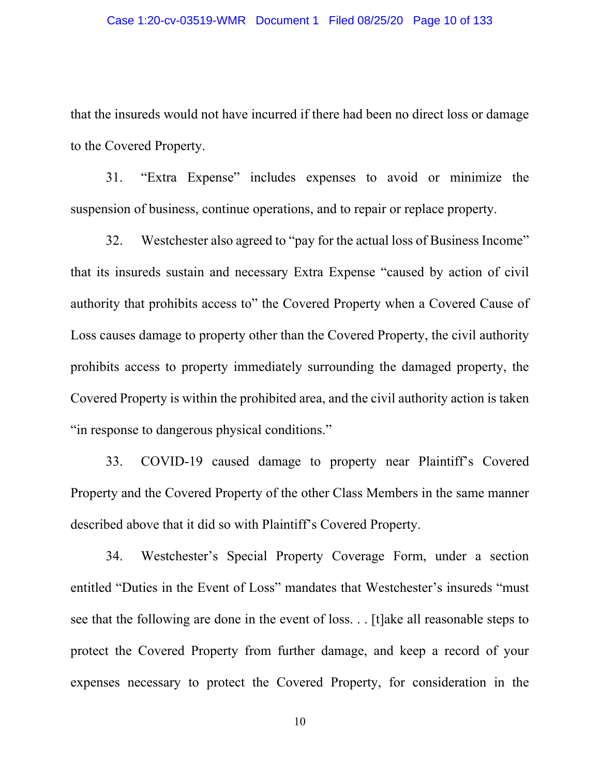that the insureds would not have incurred if there had been no direct loss or damage to the Covered Property.

31. "Extra Expense" includes expenses to avoid or minimize the suspension of business, continue operations, and to repair or replace property.

32. Westchester also agreed to "pay for the actual loss of Business Income" that its insureds sustain and necessary Extra Expense "caused by action of civil authority that prohibits access to" the Covered Property when a Covered Cause of Loss causes damage to property other than the Covered Property, the civil authority prohibits access to property immediately surrounding the damaged property, the Covered Property is within the prohibited area, and the civil authority action is taken "in response to dangerous physical conditions."

33. COVID-19 caused damage to property near Plaintiff's Covered Property and the Covered Property of the other Class Members in the same manner described above that it did so with Plaintiff's Covered Property.

34. Westchester's Special Property Coverage Form, under a section entitled "Duties in the Event of Loss" mandates that Westchester's insureds "must see that the following are done in the event of loss. . . [t]ake all reasonable steps to protect the Covered Property from further damage, and keep a record of your expenses necessary to protect the Covered Property, for consideration in the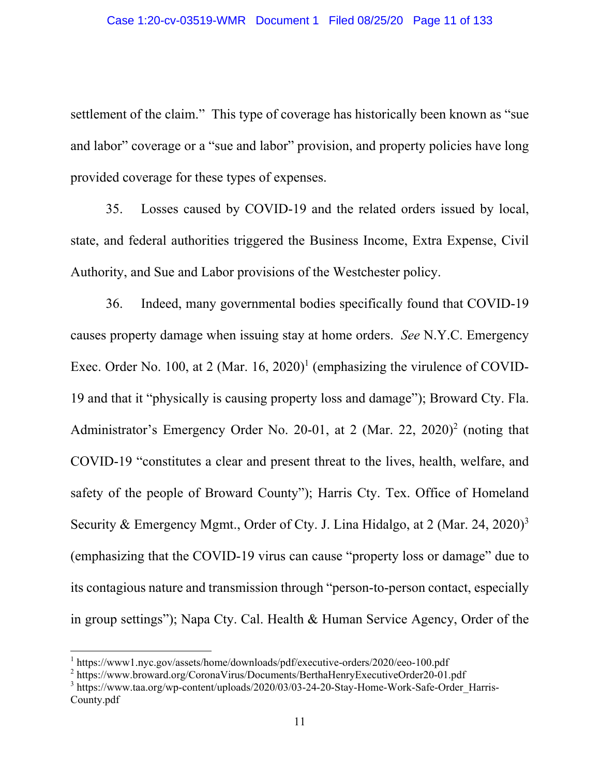settlement of the claim." This type of coverage has historically been known as "sue and labor" coverage or a "sue and labor" provision, and property policies have long provided coverage for these types of expenses.

35. Losses caused by COVID-19 and the related orders issued by local, state, and federal authorities triggered the Business Income, Extra Expense, Civil Authority, and Sue and Labor provisions of the Westchester policy.

36. Indeed, many governmental bodies specifically found that COVID-19 causes property damage when issuing stay at home orders. *See* N.Y.C. Emergency Exec. Order No. 100, at 2 (Mar.  $16$ , 2020)<sup>1</sup> (emphasizing the virulence of COVID-19 and that it "physically is causing property loss and damage"); Broward Cty. Fla. Administrator's Emergency Order No. 20-01, at 2 (Mar. 22, 2020)<sup>2</sup> (noting that COVID-19 "constitutes a clear and present threat to the lives, health, welfare, and safety of the people of Broward County"); Harris Cty. Tex. Office of Homeland Security & Emergency Mgmt., Order of Cty. J. Lina Hidalgo, at 2 (Mar. 24, 2020)3 (emphasizing that the COVID-19 virus can cause "property loss or damage" due to its contagious nature and transmission through "person-to-person contact, especially in group settings"); Napa Cty. Cal. Health & Human Service Agency, Order of the

<sup>&</sup>lt;sup>1</sup> https://www1.nyc.gov/assets/home/downloads/pdf/executive-orders/2020/eeo-100.pdf

<sup>&</sup>lt;sup>2</sup> https://www.broward.org/CoronaVirus/Documents/BerthaHenryExecutiveOrder20-01.pdf

<sup>&</sup>lt;sup>3</sup> https://www.taa.org/wp-content/uploads/2020/03/03-24-20-Stay-Home-Work-Safe-Order\_Harris-County.pdf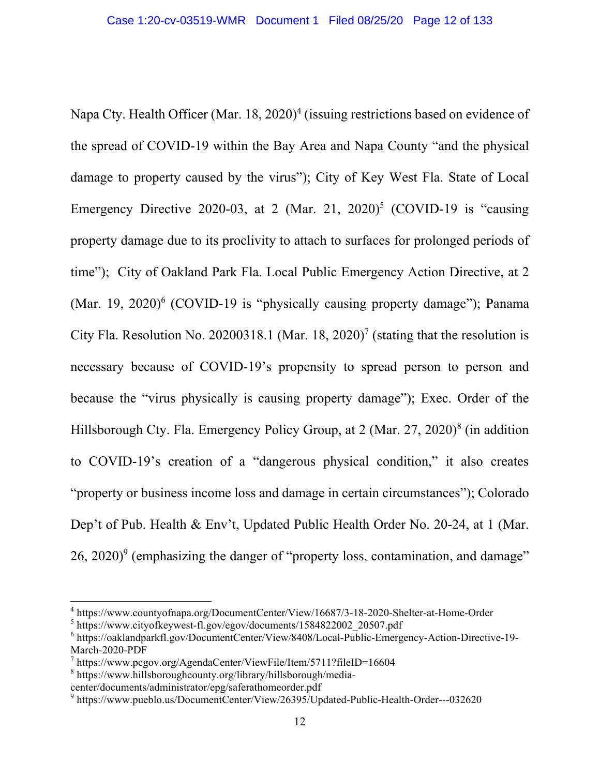Napa Cty. Health Officer (Mar. 18, 2020)<sup>4</sup> (issuing restrictions based on evidence of the spread of COVID-19 within the Bay Area and Napa County "and the physical damage to property caused by the virus"); City of Key West Fla. State of Local Emergency Directive 2020-03, at 2 (Mar. 21, 2020)<sup>5</sup> (COVID-19 is "causing property damage due to its proclivity to attach to surfaces for prolonged periods of time"); City of Oakland Park Fla. Local Public Emergency Action Directive, at 2 (Mar. 19, 2020)<sup>6</sup> (COVID-19 is "physically causing property damage"); Panama City Fla. Resolution No. 20200318.1 (Mar. 18, 2020)<sup>7</sup> (stating that the resolution is necessary because of COVID-19's propensity to spread person to person and because the "virus physically is causing property damage"); Exec. Order of the Hillsborough Cty. Fla. Emergency Policy Group, at 2 (Mar. 27, 2020)<sup>8</sup> (in addition to COVID-19's creation of a "dangerous physical condition," it also creates "property or business income loss and damage in certain circumstances"); Colorado Dep't of Pub. Health & Env't, Updated Public Health Order No. 20-24, at 1 (Mar.  $26, 2020$ <sup>o</sup> (emphasizing the danger of "property loss, contamination, and damage"

<sup>4</sup> https://www.countyofnapa.org/DocumentCenter/View/16687/3-18-2020-Shelter-at-Home-Order

<sup>&</sup>lt;sup>5</sup> https://www.cityofkeywest-fl.gov/egov/documents/1584822002\_20507.pdf

<sup>6</sup> https://oaklandparkfl.gov/DocumentCenter/View/8408/Local-Public-Emergency-Action-Directive-19- March-2020-PDF

<sup>7</sup> https://www.pcgov.org/AgendaCenter/ViewFile/Item/5711?fileID=16604

<sup>8</sup> https://www.hillsboroughcounty.org/library/hillsborough/media-

center/documents/administrator/epg/saferathomeorder.pdf

<sup>&</sup>lt;sup>9</sup> https://www.pueblo.us/DocumentCenter/View/26395/Updated-Public-Health-Order---032620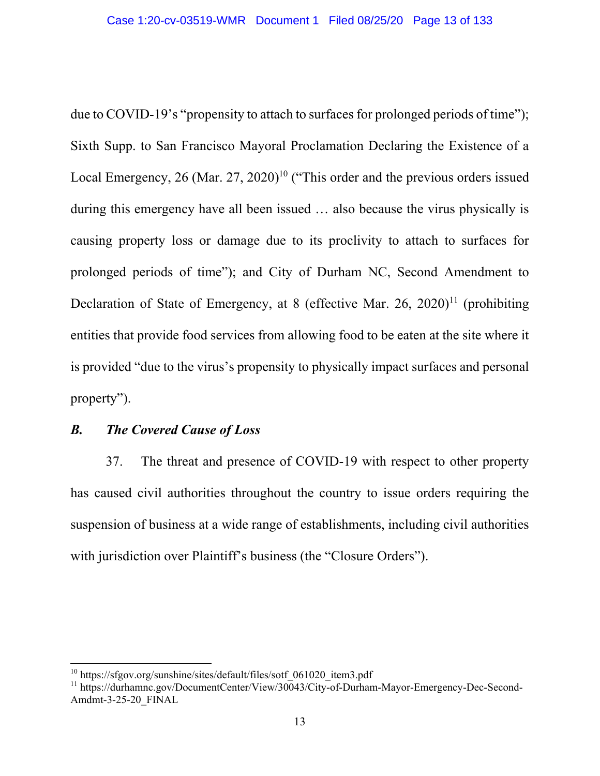due to COVID-19's "propensity to attach to surfaces for prolonged periods of time"); Sixth Supp. to San Francisco Mayoral Proclamation Declaring the Existence of a Local Emergency, 26 (Mar. 27, 2020)<sup>10</sup> ("This order and the previous orders issued during this emergency have all been issued … also because the virus physically is causing property loss or damage due to its proclivity to attach to surfaces for prolonged periods of time"); and City of Durham NC, Second Amendment to Declaration of State of Emergency, at 8 (effective Mar. 26, 2020)<sup>11</sup> (prohibiting entities that provide food services from allowing food to be eaten at the site where it is provided "due to the virus's propensity to physically impact surfaces and personal property").

## *B. The Covered Cause of Loss*

 $\overline{a}$ 

37. The threat and presence of COVID-19 with respect to other property has caused civil authorities throughout the country to issue orders requiring the suspension of business at a wide range of establishments, including civil authorities with jurisdiction over Plaintiff's business (the "Closure Orders").

<sup>&</sup>lt;sup>10</sup> https://sfgov.org/sunshine/sites/default/files/sotf\_061020\_item3.pdf

<sup>&</sup>lt;sup>11</sup> https://durhamnc.gov/DocumentCenter/View/30043/City-of-Durham-Mayor-Emergency-Dec-Second-Amdmt-3-25-20\_FINAL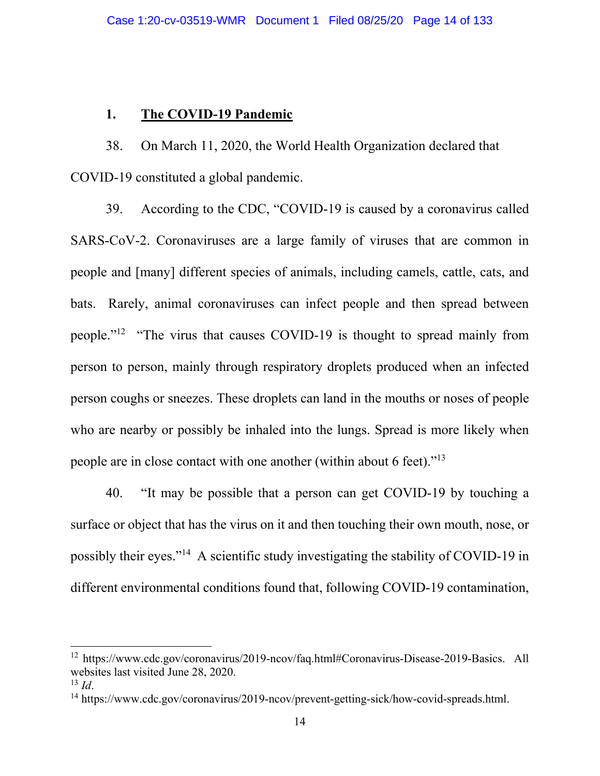### **1. The COVID-19 Pandemic**

38. On March 11, 2020, the World Health Organization declared that COVID-19 constituted a global pandemic.

39. According to the CDC, "COVID-19 is caused by a coronavirus called SARS-CoV-2. Coronaviruses are a large family of viruses that are common in people and [many] different species of animals, including camels, cattle, cats, and bats. Rarely, animal coronaviruses can infect people and then spread between people."12 "The virus that causes COVID-19 is thought to spread mainly from person to person, mainly through respiratory droplets produced when an infected person coughs or sneezes. These droplets can land in the mouths or noses of people who are nearby or possibly be inhaled into the lungs. Spread is more likely when people are in close contact with one another (within about 6 feet)."13

40. "It may be possible that a person can get COVID-19 by touching a surface or object that has the virus on it and then touching their own mouth, nose, or possibly their eyes."14 A scientific study investigating the stability of COVID-19 in different environmental conditions found that, following COVID-19 contamination,

 $\overline{a}$ 

<sup>&</sup>lt;sup>12</sup> https://www.cdc.gov/coronavirus/2019-ncov/faq.html#Coronavirus-Disease-2019-Basics. All websites last visited June 28, 2020.

<sup>&</sup>lt;sup>13</sup> *Id.* 14 https://www.cdc.gov/coronavirus/2019-ncov/prevent-getting-sick/how-covid-spreads.html.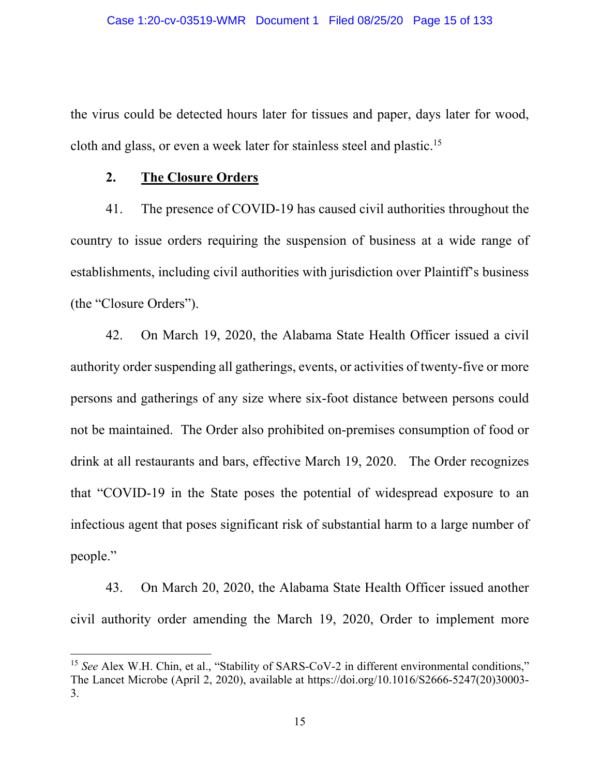the virus could be detected hours later for tissues and paper, days later for wood, cloth and glass, or even a week later for stainless steel and plastic.15

#### **2. The Closure Orders**

41. The presence of COVID-19 has caused civil authorities throughout the country to issue orders requiring the suspension of business at a wide range of establishments, including civil authorities with jurisdiction over Plaintiff's business (the "Closure Orders").

42. On March 19, 2020, the Alabama State Health Officer issued a civil authority order suspending all gatherings, events, or activities of twenty-five or more persons and gatherings of any size where six-foot distance between persons could not be maintained. The Order also prohibited on-premises consumption of food or drink at all restaurants and bars, effective March 19, 2020. The Order recognizes that "COVID-19 in the State poses the potential of widespread exposure to an infectious agent that poses significant risk of substantial harm to a large number of people."

43. On March 20, 2020, the Alabama State Health Officer issued another civil authority order amending the March 19, 2020, Order to implement more

<sup>&</sup>lt;sup>15</sup> See Alex W.H. Chin, et al., "Stability of SARS-CoV-2 in different environmental conditions," The Lancet Microbe (April 2, 2020), available at https://doi.org/10.1016/S2666-5247(20)30003- 3.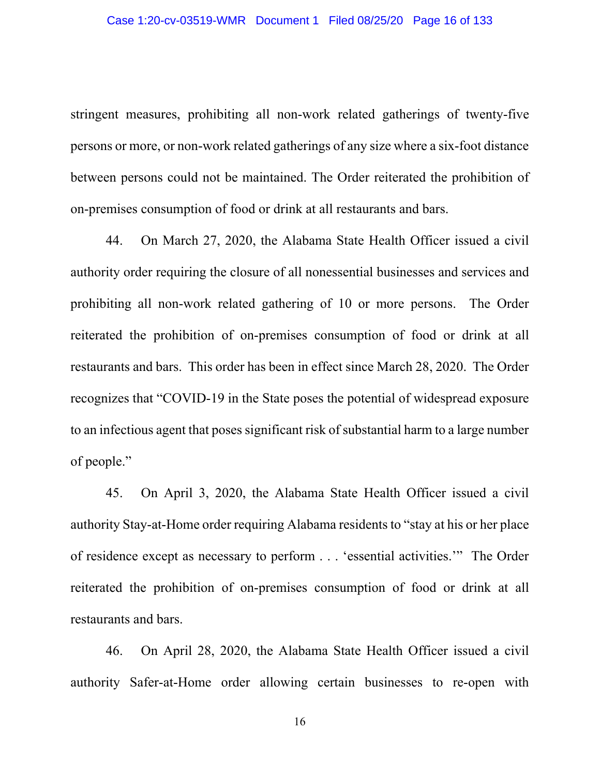stringent measures, prohibiting all non-work related gatherings of twenty-five persons or more, or non-work related gatherings of any size where a six-foot distance between persons could not be maintained. The Order reiterated the prohibition of on-premises consumption of food or drink at all restaurants and bars.

44. On March 27, 2020, the Alabama State Health Officer issued a civil authority order requiring the closure of all nonessential businesses and services and prohibiting all non-work related gathering of 10 or more persons. The Order reiterated the prohibition of on-premises consumption of food or drink at all restaurants and bars. This order has been in effect since March 28, 2020. The Order recognizes that "COVID-19 in the State poses the potential of widespread exposure to an infectious agent that poses significant risk of substantial harm to a large number of people."

45. On April 3, 2020, the Alabama State Health Officer issued a civil authority Stay-at-Home order requiring Alabama residents to "stay at his or her place of residence except as necessary to perform . . . 'essential activities.'" The Order reiterated the prohibition of on-premises consumption of food or drink at all restaurants and bars.

46. On April 28, 2020, the Alabama State Health Officer issued a civil authority Safer-at-Home order allowing certain businesses to re-open with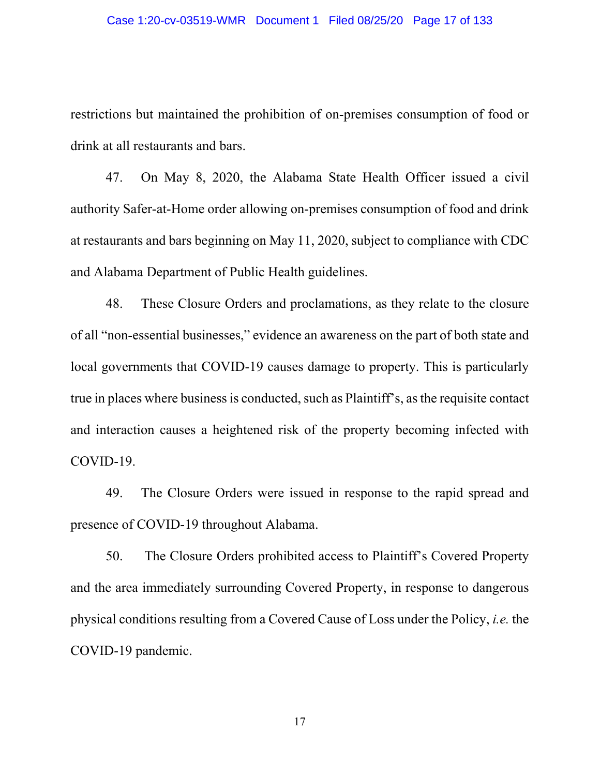restrictions but maintained the prohibition of on-premises consumption of food or drink at all restaurants and bars.

47. On May 8, 2020, the Alabama State Health Officer issued a civil authority Safer-at-Home order allowing on-premises consumption of food and drink at restaurants and bars beginning on May 11, 2020, subject to compliance with CDC and Alabama Department of Public Health guidelines.

48. These Closure Orders and proclamations, as they relate to the closure of all "non-essential businesses," evidence an awareness on the part of both state and local governments that COVID-19 causes damage to property. This is particularly true in places where business is conducted, such as Plaintiff's, as the requisite contact and interaction causes a heightened risk of the property becoming infected with COVID-19.

49. The Closure Orders were issued in response to the rapid spread and presence of COVID-19 throughout Alabama.

50. The Closure Orders prohibited access to Plaintiff's Covered Property and the area immediately surrounding Covered Property, in response to dangerous physical conditions resulting from a Covered Cause of Loss under the Policy, *i.e.* the COVID-19 pandemic.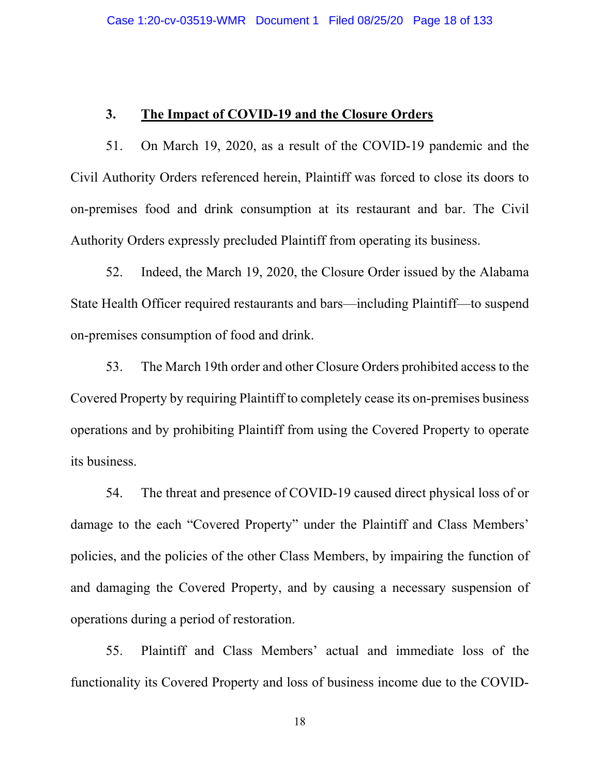#### **3. The Impact of COVID-19 and the Closure Orders**

51. On March 19, 2020, as a result of the COVID-19 pandemic and the Civil Authority Orders referenced herein, Plaintiff was forced to close its doors to on-premises food and drink consumption at its restaurant and bar. The Civil Authority Orders expressly precluded Plaintiff from operating its business.

52. Indeed, the March 19, 2020, the Closure Order issued by the Alabama State Health Officer required restaurants and bars—including Plaintiff—to suspend on-premises consumption of food and drink.

53. The March 19th order and other Closure Orders prohibited access to the Covered Property by requiring Plaintiff to completely cease its on-premises business operations and by prohibiting Plaintiff from using the Covered Property to operate its business.

54. The threat and presence of COVID-19 caused direct physical loss of or damage to the each "Covered Property" under the Plaintiff and Class Members' policies, and the policies of the other Class Members, by impairing the function of and damaging the Covered Property, and by causing a necessary suspension of operations during a period of restoration.

55. Plaintiff and Class Members' actual and immediate loss of the functionality its Covered Property and loss of business income due to the COVID-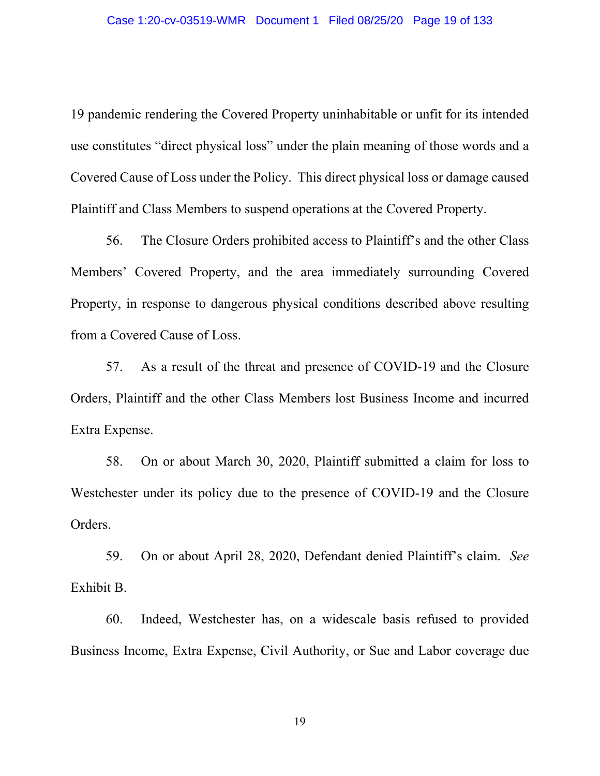19 pandemic rendering the Covered Property uninhabitable or unfit for its intended use constitutes "direct physical loss" under the plain meaning of those words and a Covered Cause of Loss under the Policy. This direct physical loss or damage caused Plaintiff and Class Members to suspend operations at the Covered Property.

56. The Closure Orders prohibited access to Plaintiff's and the other Class Members' Covered Property, and the area immediately surrounding Covered Property, in response to dangerous physical conditions described above resulting from a Covered Cause of Loss.

57. As a result of the threat and presence of COVID-19 and the Closure Orders, Plaintiff and the other Class Members lost Business Income and incurred Extra Expense.

58. On or about March 30, 2020, Plaintiff submitted a claim for loss to Westchester under its policy due to the presence of COVID-19 and the Closure Orders.

59. On or about April 28, 2020, Defendant denied Plaintiff's claim. *See* Exhibit B.

60. Indeed, Westchester has, on a widescale basis refused to provided Business Income, Extra Expense, Civil Authority, or Sue and Labor coverage due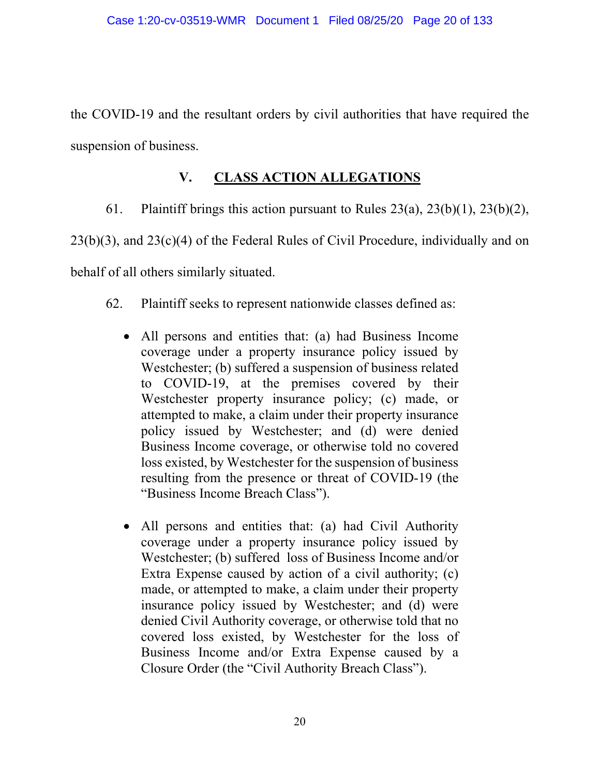the COVID-19 and the resultant orders by civil authorities that have required the suspension of business.

# **V. CLASS ACTION ALLEGATIONS**

# 61. Plaintiff brings this action pursuant to Rules  $23(a)$ ,  $23(b)(1)$ ,  $23(b)(2)$ ,

 $23(b)(3)$ , and  $23(c)(4)$  of the Federal Rules of Civil Procedure, individually and on

behalf of all others similarly situated.

- 62. Plaintiff seeks to represent nationwide classes defined as:
	- All persons and entities that: (a) had Business Income coverage under a property insurance policy issued by Westchester; (b) suffered a suspension of business related to COVID-19, at the premises covered by their Westchester property insurance policy; (c) made, or attempted to make, a claim under their property insurance policy issued by Westchester; and (d) were denied Business Income coverage, or otherwise told no covered loss existed, by Westchester for the suspension of business resulting from the presence or threat of COVID-19 (the "Business Income Breach Class").
	- All persons and entities that: (a) had Civil Authority coverage under a property insurance policy issued by Westchester; (b) suffered loss of Business Income and/or Extra Expense caused by action of a civil authority; (c) made, or attempted to make, a claim under their property insurance policy issued by Westchester; and (d) were denied Civil Authority coverage, or otherwise told that no covered loss existed, by Westchester for the loss of Business Income and/or Extra Expense caused by a Closure Order (the "Civil Authority Breach Class").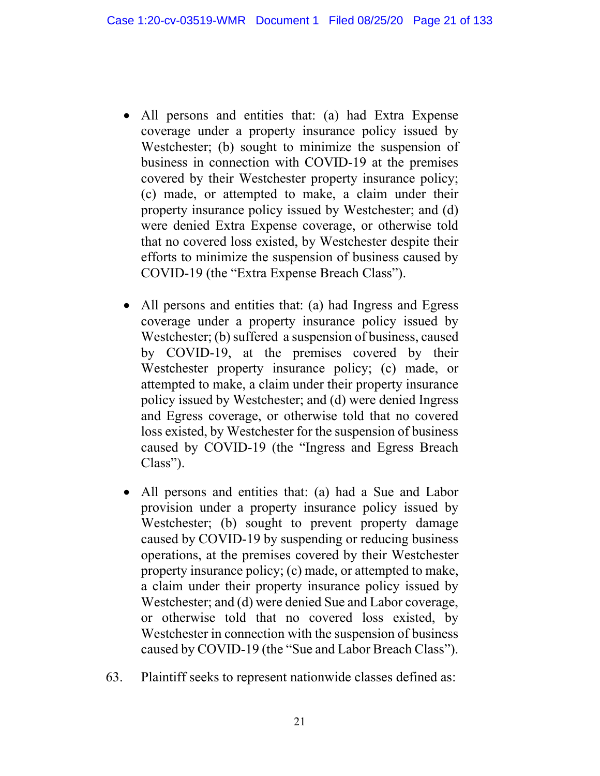- All persons and entities that: (a) had Extra Expense coverage under a property insurance policy issued by Westchester; (b) sought to minimize the suspension of business in connection with COVID-19 at the premises covered by their Westchester property insurance policy; (c) made, or attempted to make, a claim under their property insurance policy issued by Westchester; and (d) were denied Extra Expense coverage, or otherwise told that no covered loss existed, by Westchester despite their efforts to minimize the suspension of business caused by COVID-19 (the "Extra Expense Breach Class").
- All persons and entities that: (a) had Ingress and Egress coverage under a property insurance policy issued by Westchester; (b) suffered a suspension of business, caused by COVID-19, at the premises covered by their Westchester property insurance policy; (c) made, or attempted to make, a claim under their property insurance policy issued by Westchester; and (d) were denied Ingress and Egress coverage, or otherwise told that no covered loss existed, by Westchester for the suspension of business caused by COVID-19 (the "Ingress and Egress Breach Class").
- All persons and entities that: (a) had a Sue and Labor provision under a property insurance policy issued by Westchester; (b) sought to prevent property damage caused by COVID-19 by suspending or reducing business operations, at the premises covered by their Westchester property insurance policy; (c) made, or attempted to make, a claim under their property insurance policy issued by Westchester; and (d) were denied Sue and Labor coverage, or otherwise told that no covered loss existed, by Westchester in connection with the suspension of business caused by COVID-19 (the "Sue and Labor Breach Class").
- 63. Plaintiff seeks to represent nationwide classes defined as: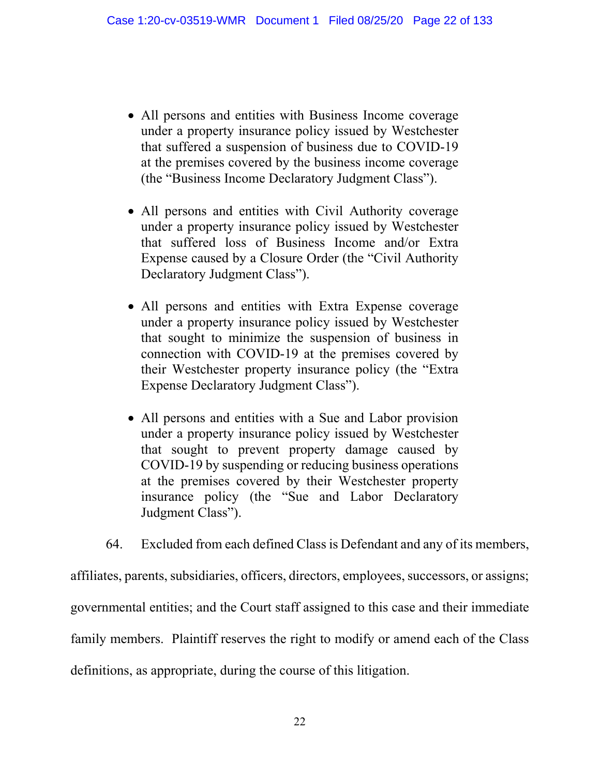- All persons and entities with Business Income coverage under a property insurance policy issued by Westchester that suffered a suspension of business due to COVID-19 at the premises covered by the business income coverage (the "Business Income Declaratory Judgment Class").
- All persons and entities with Civil Authority coverage under a property insurance policy issued by Westchester that suffered loss of Business Income and/or Extra Expense caused by a Closure Order (the "Civil Authority Declaratory Judgment Class").
- All persons and entities with Extra Expense coverage under a property insurance policy issued by Westchester that sought to minimize the suspension of business in connection with COVID-19 at the premises covered by their Westchester property insurance policy (the "Extra Expense Declaratory Judgment Class").
- All persons and entities with a Sue and Labor provision under a property insurance policy issued by Westchester that sought to prevent property damage caused by COVID-19 by suspending or reducing business operations at the premises covered by their Westchester property insurance policy (the "Sue and Labor Declaratory Judgment Class").

64. Excluded from each defined Class is Defendant and any of its members,

affiliates, parents, subsidiaries, officers, directors, employees, successors, or assigns; governmental entities; and the Court staff assigned to this case and their immediate family members. Plaintiff reserves the right to modify or amend each of the Class definitions, as appropriate, during the course of this litigation.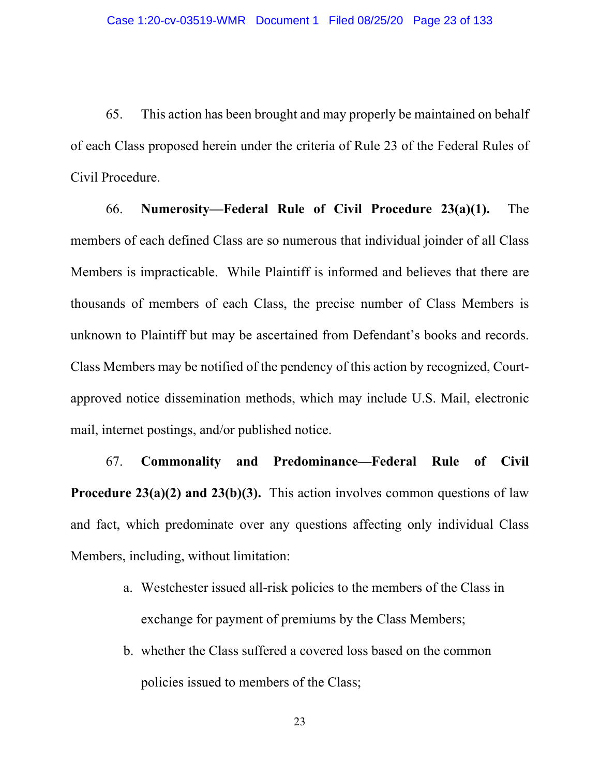65. This action has been brought and may properly be maintained on behalf of each Class proposed herein under the criteria of Rule 23 of the Federal Rules of Civil Procedure.

66. **Numerosity—Federal Rule of Civil Procedure 23(a)(1).** The members of each defined Class are so numerous that individual joinder of all Class Members is impracticable. While Plaintiff is informed and believes that there are thousands of members of each Class, the precise number of Class Members is unknown to Plaintiff but may be ascertained from Defendant's books and records. Class Members may be notified of the pendency of this action by recognized, Courtapproved notice dissemination methods, which may include U.S. Mail, electronic mail, internet postings, and/or published notice.

67. **Commonality and Predominance—Federal Rule of Civil Procedure 23(a)(2) and 23(b)(3).** This action involves common questions of law and fact, which predominate over any questions affecting only individual Class Members, including, without limitation:

- a. Westchester issued all-risk policies to the members of the Class in exchange for payment of premiums by the Class Members;
- b. whether the Class suffered a covered loss based on the common policies issued to members of the Class;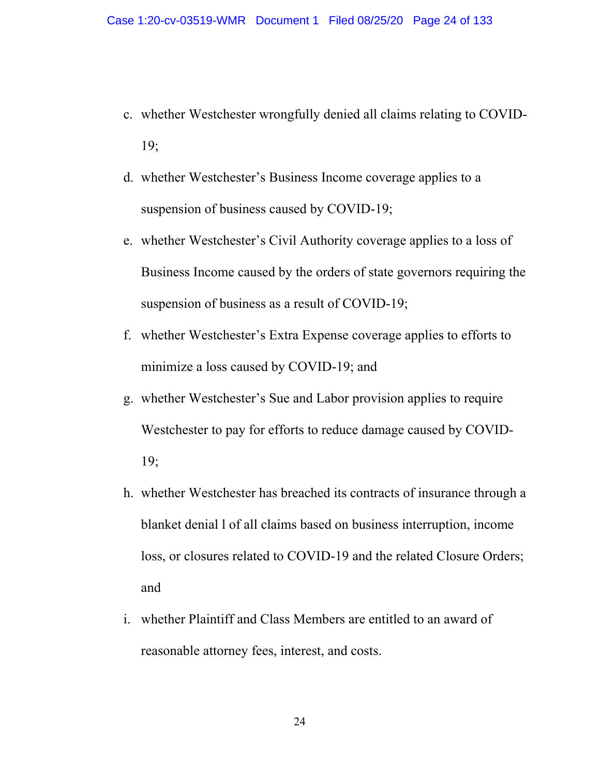- c. whether Westchester wrongfully denied all claims relating to COVID-19;
- d. whether Westchester's Business Income coverage applies to a suspension of business caused by COVID-19;
- e. whether Westchester's Civil Authority coverage applies to a loss of Business Income caused by the orders of state governors requiring the suspension of business as a result of COVID-19;
- f. whether Westchester's Extra Expense coverage applies to efforts to minimize a loss caused by COVID-19; and
- g. whether Westchester's Sue and Labor provision applies to require Westchester to pay for efforts to reduce damage caused by COVID-19;
- h. whether Westchester has breached its contracts of insurance through a blanket denial l of all claims based on business interruption, income loss, or closures related to COVID-19 and the related Closure Orders; and
- i. whether Plaintiff and Class Members are entitled to an award of reasonable attorney fees, interest, and costs.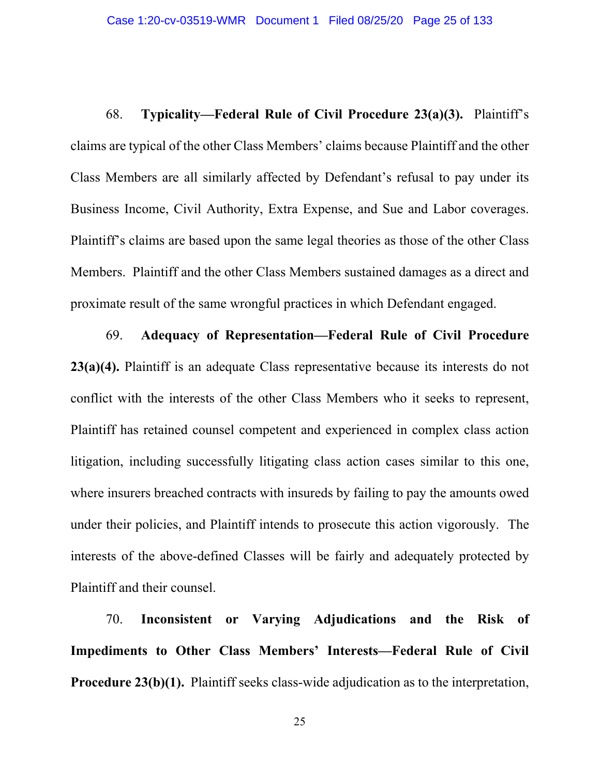68. **Typicality—Federal Rule of Civil Procedure 23(a)(3).** Plaintiff's claims are typical of the other Class Members' claims because Plaintiff and the other Class Members are all similarly affected by Defendant's refusal to pay under its Business Income, Civil Authority, Extra Expense, and Sue and Labor coverages. Plaintiff's claims are based upon the same legal theories as those of the other Class Members. Plaintiff and the other Class Members sustained damages as a direct and proximate result of the same wrongful practices in which Defendant engaged.

69. **Adequacy of Representation—Federal Rule of Civil Procedure 23(a)(4).** Plaintiff is an adequate Class representative because its interests do not conflict with the interests of the other Class Members who it seeks to represent, Plaintiff has retained counsel competent and experienced in complex class action litigation, including successfully litigating class action cases similar to this one, where insurers breached contracts with insureds by failing to pay the amounts owed under their policies, and Plaintiff intends to prosecute this action vigorously. The interests of the above-defined Classes will be fairly and adequately protected by Plaintiff and their counsel.

70. **Inconsistent or Varying Adjudications and the Risk of Impediments to Other Class Members' Interests—Federal Rule of Civil Procedure 23(b)(1).** Plaintiff seeks class-wide adjudication as to the interpretation,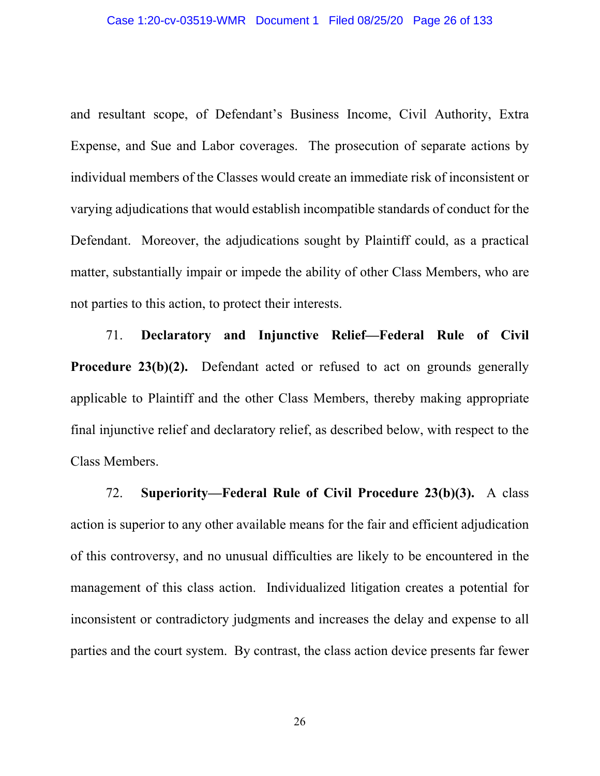and resultant scope, of Defendant's Business Income, Civil Authority, Extra Expense, and Sue and Labor coverages. The prosecution of separate actions by individual members of the Classes would create an immediate risk of inconsistent or varying adjudications that would establish incompatible standards of conduct for the Defendant. Moreover, the adjudications sought by Plaintiff could, as a practical matter, substantially impair or impede the ability of other Class Members, who are not parties to this action, to protect their interests.

71. **Declaratory and Injunctive Relief—Federal Rule of Civil Procedure 23(b)(2).** Defendant acted or refused to act on grounds generally applicable to Plaintiff and the other Class Members, thereby making appropriate final injunctive relief and declaratory relief, as described below, with respect to the Class Members.

72. **Superiority—Federal Rule of Civil Procedure 23(b)(3).** A class action is superior to any other available means for the fair and efficient adjudication of this controversy, and no unusual difficulties are likely to be encountered in the management of this class action. Individualized litigation creates a potential for inconsistent or contradictory judgments and increases the delay and expense to all parties and the court system. By contrast, the class action device presents far fewer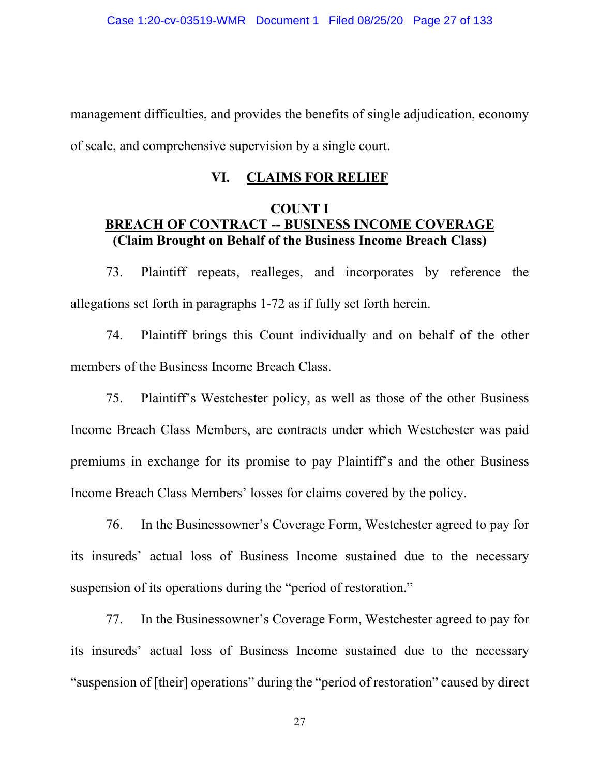management difficulties, and provides the benefits of single adjudication, economy of scale, and comprehensive supervision by a single court.

### **VI. CLAIMS FOR RELIEF**

### **COUNT I BREACH OF CONTRACT -- BUSINESS INCOME COVERAGE (Claim Brought on Behalf of the Business Income Breach Class)**

73. Plaintiff repeats, realleges, and incorporates by reference the allegations set forth in paragraphs 1-72 as if fully set forth herein.

74. Plaintiff brings this Count individually and on behalf of the other members of the Business Income Breach Class.

75. Plaintiff's Westchester policy, as well as those of the other Business Income Breach Class Members, are contracts under which Westchester was paid premiums in exchange for its promise to pay Plaintiff's and the other Business Income Breach Class Members' losses for claims covered by the policy.

76. In the Businessowner's Coverage Form, Westchester agreed to pay for its insureds' actual loss of Business Income sustained due to the necessary suspension of its operations during the "period of restoration."

77. In the Businessowner's Coverage Form, Westchester agreed to pay for its insureds' actual loss of Business Income sustained due to the necessary "suspension of [their] operations" during the "period of restoration" caused by direct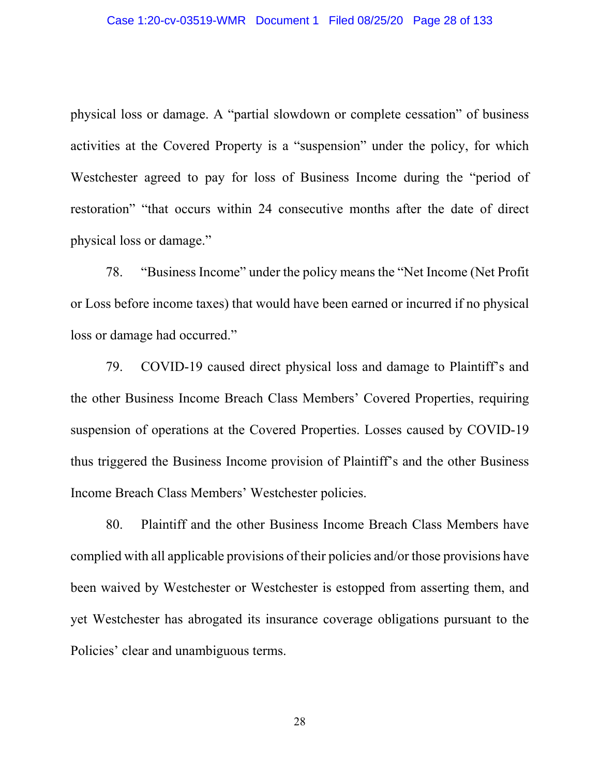physical loss or damage. A "partial slowdown or complete cessation" of business activities at the Covered Property is a "suspension" under the policy, for which Westchester agreed to pay for loss of Business Income during the "period of restoration" "that occurs within 24 consecutive months after the date of direct physical loss or damage."

78. "Business Income" under the policy means the "Net Income (Net Profit or Loss before income taxes) that would have been earned or incurred if no physical loss or damage had occurred."

79. COVID-19 caused direct physical loss and damage to Plaintiff's and the other Business Income Breach Class Members' Covered Properties, requiring suspension of operations at the Covered Properties. Losses caused by COVID-19 thus triggered the Business Income provision of Plaintiff's and the other Business Income Breach Class Members' Westchester policies.

80. Plaintiff and the other Business Income Breach Class Members have complied with all applicable provisions of their policies and/or those provisions have been waived by Westchester or Westchester is estopped from asserting them, and yet Westchester has abrogated its insurance coverage obligations pursuant to the Policies' clear and unambiguous terms.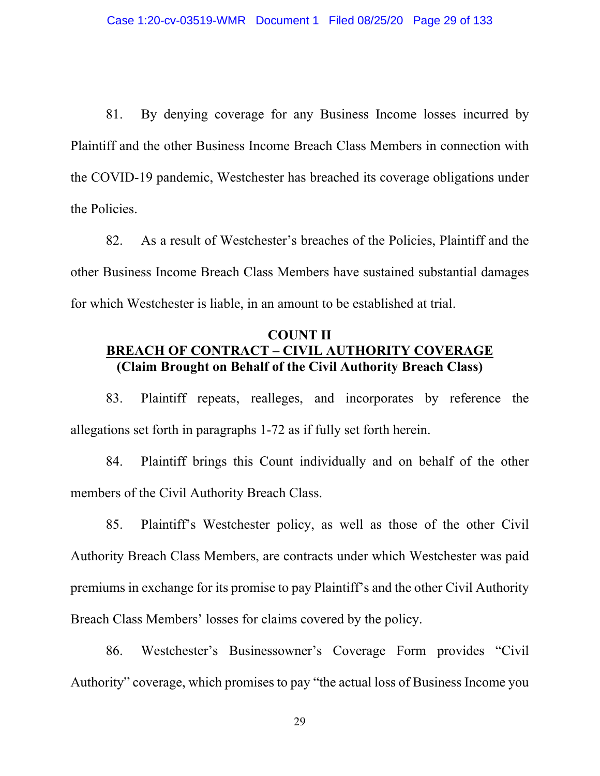81. By denying coverage for any Business Income losses incurred by Plaintiff and the other Business Income Breach Class Members in connection with the COVID-19 pandemic, Westchester has breached its coverage obligations under the Policies.

82. As a result of Westchester's breaches of the Policies, Plaintiff and the other Business Income Breach Class Members have sustained substantial damages for which Westchester is liable, in an amount to be established at trial.

### **COUNT II BREACH OF CONTRACT – CIVIL AUTHORITY COVERAGE (Claim Brought on Behalf of the Civil Authority Breach Class)**

83. Plaintiff repeats, realleges, and incorporates by reference the allegations set forth in paragraphs 1-72 as if fully set forth herein.

84. Plaintiff brings this Count individually and on behalf of the other members of the Civil Authority Breach Class.

85. Plaintiff's Westchester policy, as well as those of the other Civil Authority Breach Class Members, are contracts under which Westchester was paid premiums in exchange for its promise to pay Plaintiff's and the other Civil Authority Breach Class Members' losses for claims covered by the policy.

86. Westchester's Businessowner's Coverage Form provides "Civil Authority" coverage, which promises to pay "the actual loss of Business Income you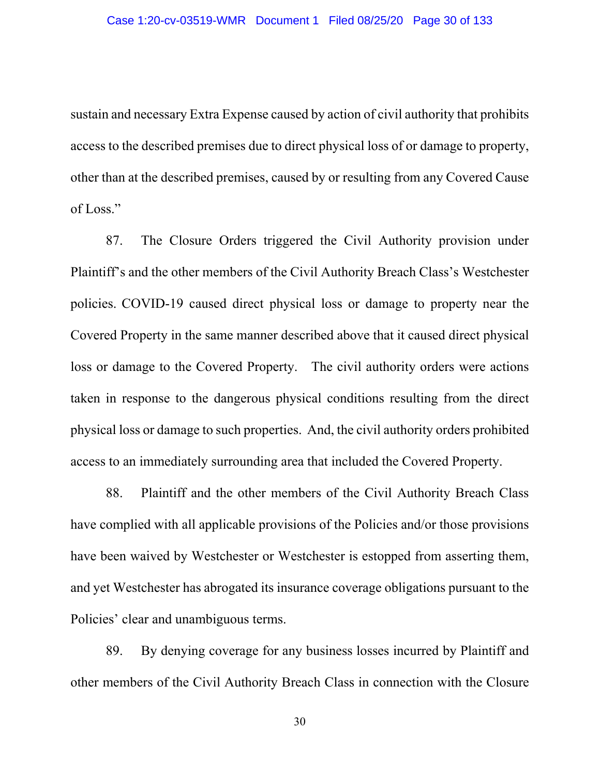sustain and necessary Extra Expense caused by action of civil authority that prohibits access to the described premises due to direct physical loss of or damage to property, other than at the described premises, caused by or resulting from any Covered Cause of Loss."

87. The Closure Orders triggered the Civil Authority provision under Plaintiff's and the other members of the Civil Authority Breach Class's Westchester policies. COVID-19 caused direct physical loss or damage to property near the Covered Property in the same manner described above that it caused direct physical loss or damage to the Covered Property. The civil authority orders were actions taken in response to the dangerous physical conditions resulting from the direct physical loss or damage to such properties. And, the civil authority orders prohibited access to an immediately surrounding area that included the Covered Property.

88. Plaintiff and the other members of the Civil Authority Breach Class have complied with all applicable provisions of the Policies and/or those provisions have been waived by Westchester or Westchester is estopped from asserting them, and yet Westchester has abrogated its insurance coverage obligations pursuant to the Policies' clear and unambiguous terms.

89. By denying coverage for any business losses incurred by Plaintiff and other members of the Civil Authority Breach Class in connection with the Closure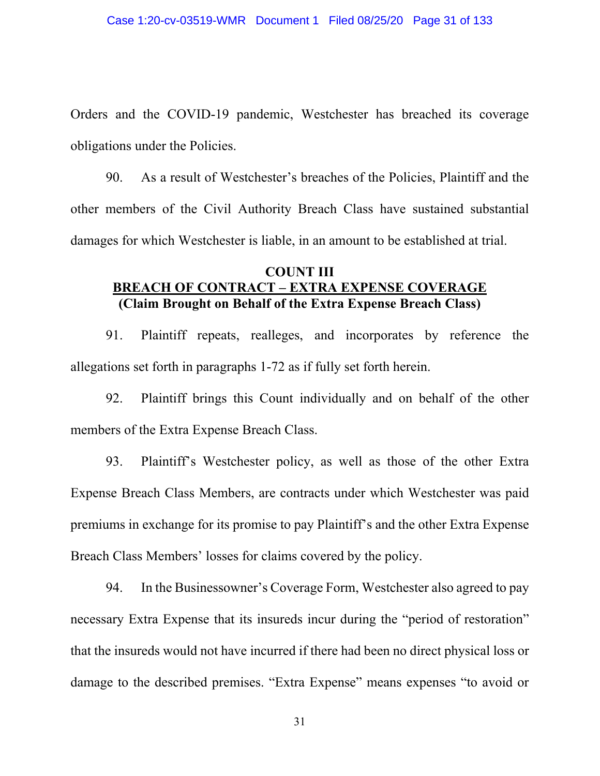Orders and the COVID-19 pandemic, Westchester has breached its coverage obligations under the Policies.

90. As a result of Westchester's breaches of the Policies, Plaintiff and the other members of the Civil Authority Breach Class have sustained substantial damages for which Westchester is liable, in an amount to be established at trial.

#### **COUNT III BREACH OF CONTRACT – EXTRA EXPENSE COVERAGE (Claim Brought on Behalf of the Extra Expense Breach Class)**

91. Plaintiff repeats, realleges, and incorporates by reference the allegations set forth in paragraphs 1-72 as if fully set forth herein.

92. Plaintiff brings this Count individually and on behalf of the other members of the Extra Expense Breach Class.

93. Plaintiff's Westchester policy, as well as those of the other Extra Expense Breach Class Members, are contracts under which Westchester was paid premiums in exchange for its promise to pay Plaintiff's and the other Extra Expense Breach Class Members' losses for claims covered by the policy.

94. In the Businessowner's Coverage Form, Westchester also agreed to pay necessary Extra Expense that its insureds incur during the "period of restoration" that the insureds would not have incurred if there had been no direct physical loss or damage to the described premises. "Extra Expense" means expenses "to avoid or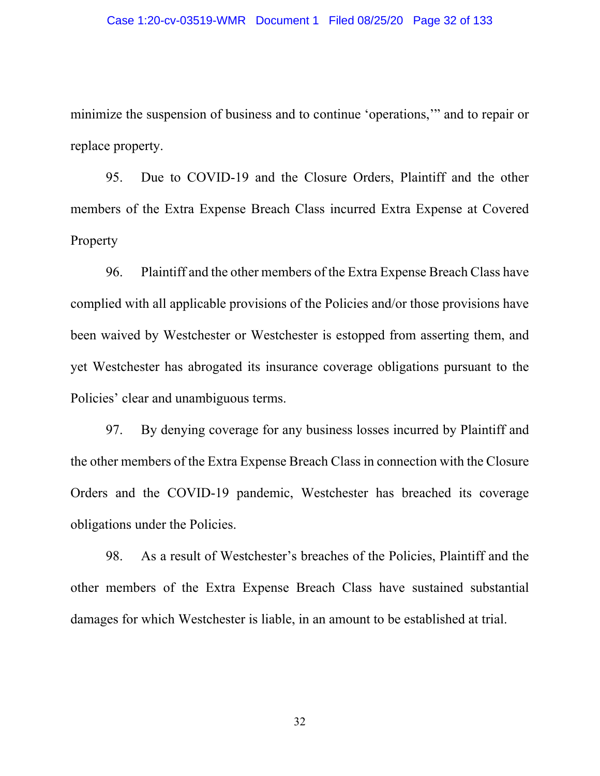minimize the suspension of business and to continue 'operations,'" and to repair or replace property.

95. Due to COVID-19 and the Closure Orders, Plaintiff and the other members of the Extra Expense Breach Class incurred Extra Expense at Covered **Property** 

96. Plaintiff and the other members of the Extra Expense Breach Class have complied with all applicable provisions of the Policies and/or those provisions have been waived by Westchester or Westchester is estopped from asserting them, and yet Westchester has abrogated its insurance coverage obligations pursuant to the Policies' clear and unambiguous terms.

97. By denying coverage for any business losses incurred by Plaintiff and the other members of the Extra Expense Breach Class in connection with the Closure Orders and the COVID-19 pandemic, Westchester has breached its coverage obligations under the Policies.

98. As a result of Westchester's breaches of the Policies, Plaintiff and the other members of the Extra Expense Breach Class have sustained substantial damages for which Westchester is liable, in an amount to be established at trial.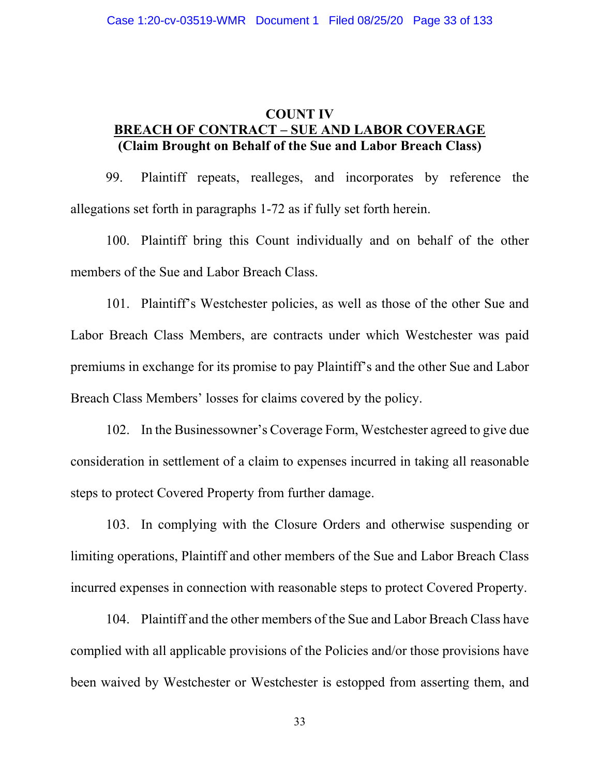#### **COUNT IV BREACH OF CONTRACT – SUE AND LABOR COVERAGE (Claim Brought on Behalf of the Sue and Labor Breach Class)**

99. Plaintiff repeats, realleges, and incorporates by reference the allegations set forth in paragraphs 1-72 as if fully set forth herein.

100. Plaintiff bring this Count individually and on behalf of the other members of the Sue and Labor Breach Class.

101. Plaintiff's Westchester policies, as well as those of the other Sue and Labor Breach Class Members, are contracts under which Westchester was paid premiums in exchange for its promise to pay Plaintiff's and the other Sue and Labor Breach Class Members' losses for claims covered by the policy.

102. In the Businessowner's Coverage Form, Westchester agreed to give due consideration in settlement of a claim to expenses incurred in taking all reasonable steps to protect Covered Property from further damage.

103. In complying with the Closure Orders and otherwise suspending or limiting operations, Plaintiff and other members of the Sue and Labor Breach Class incurred expenses in connection with reasonable steps to protect Covered Property.

104. Plaintiff and the other members of the Sue and Labor Breach Class have complied with all applicable provisions of the Policies and/or those provisions have been waived by Westchester or Westchester is estopped from asserting them, and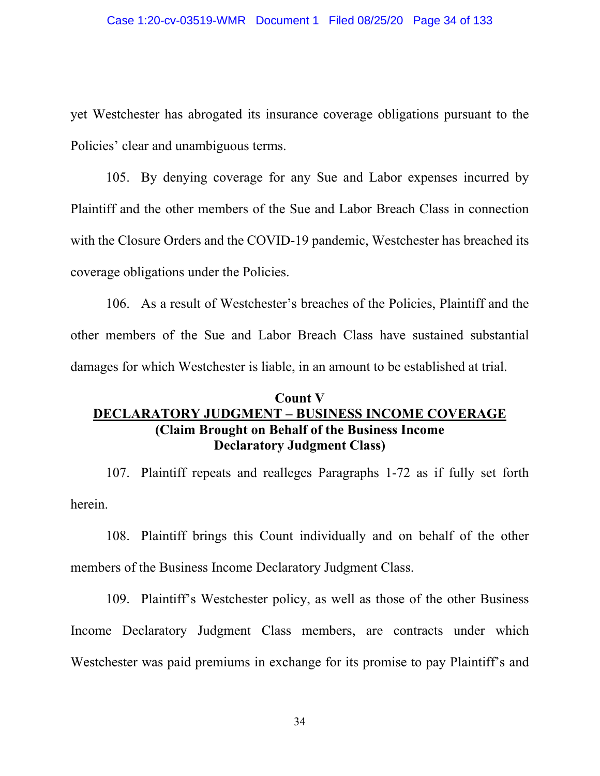yet Westchester has abrogated its insurance coverage obligations pursuant to the Policies' clear and unambiguous terms.

105. By denying coverage for any Sue and Labor expenses incurred by Plaintiff and the other members of the Sue and Labor Breach Class in connection with the Closure Orders and the COVID-19 pandemic, Westchester has breached its coverage obligations under the Policies.

106. As a result of Westchester's breaches of the Policies, Plaintiff and the other members of the Sue and Labor Breach Class have sustained substantial damages for which Westchester is liable, in an amount to be established at trial.

## **Count V DECLARATORY JUDGMENT – BUSINESS INCOME COVERAGE (Claim Brought on Behalf of the Business Income Declaratory Judgment Class)**

107. Plaintiff repeats and realleges Paragraphs 1-72 as if fully set forth herein.

108. Plaintiff brings this Count individually and on behalf of the other members of the Business Income Declaratory Judgment Class.

109. Plaintiff's Westchester policy, as well as those of the other Business Income Declaratory Judgment Class members, are contracts under which Westchester was paid premiums in exchange for its promise to pay Plaintiff's and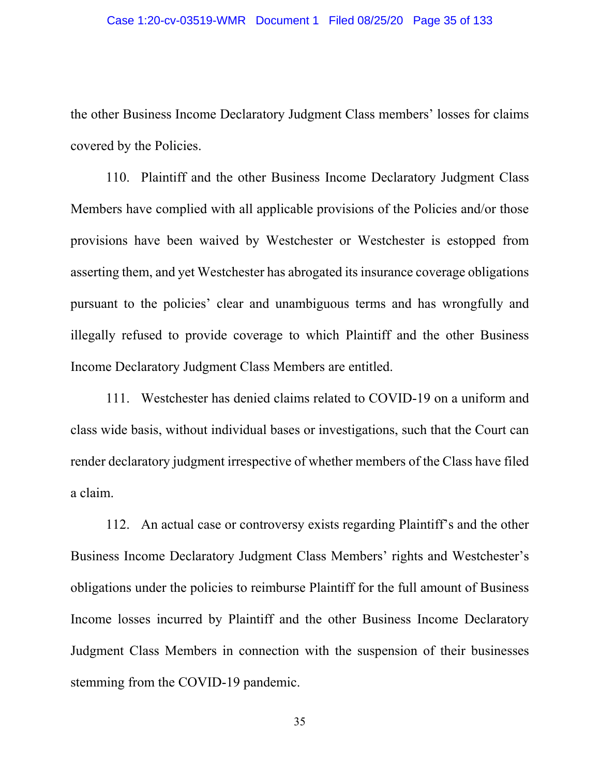the other Business Income Declaratory Judgment Class members' losses for claims covered by the Policies.

110. Plaintiff and the other Business Income Declaratory Judgment Class Members have complied with all applicable provisions of the Policies and/or those provisions have been waived by Westchester or Westchester is estopped from asserting them, and yet Westchester has abrogated its insurance coverage obligations pursuant to the policies' clear and unambiguous terms and has wrongfully and illegally refused to provide coverage to which Plaintiff and the other Business Income Declaratory Judgment Class Members are entitled.

111. Westchester has denied claims related to COVID-19 on a uniform and class wide basis, without individual bases or investigations, such that the Court can render declaratory judgment irrespective of whether members of the Class have filed a claim.

112. An actual case or controversy exists regarding Plaintiff's and the other Business Income Declaratory Judgment Class Members' rights and Westchester's obligations under the policies to reimburse Plaintiff for the full amount of Business Income losses incurred by Plaintiff and the other Business Income Declaratory Judgment Class Members in connection with the suspension of their businesses stemming from the COVID-19 pandemic.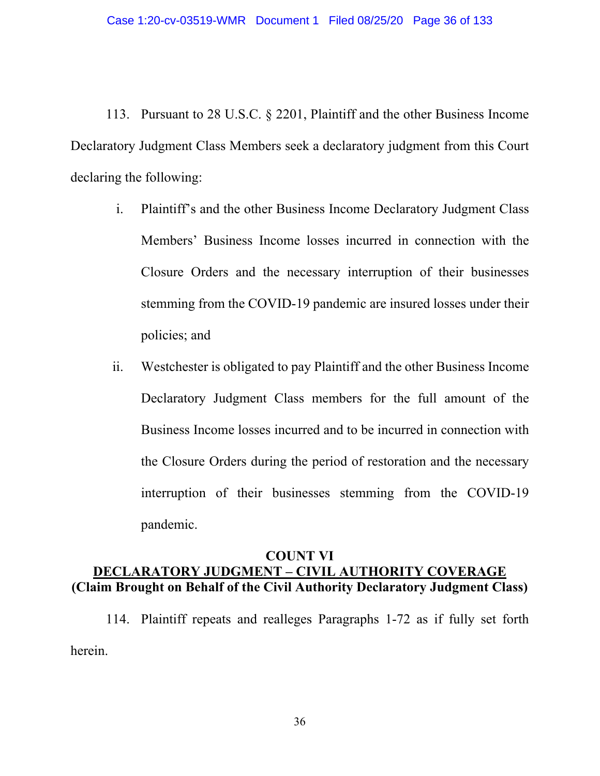113. Pursuant to 28 U.S.C. § 2201, Plaintiff and the other Business Income Declaratory Judgment Class Members seek a declaratory judgment from this Court declaring the following:

- i. Plaintiff's and the other Business Income Declaratory Judgment Class Members' Business Income losses incurred in connection with the Closure Orders and the necessary interruption of their businesses stemming from the COVID-19 pandemic are insured losses under their policies; and
- ii. Westchester is obligated to pay Plaintiff and the other Business Income Declaratory Judgment Class members for the full amount of the Business Income losses incurred and to be incurred in connection with the Closure Orders during the period of restoration and the necessary interruption of their businesses stemming from the COVID-19 pandemic.

### **COUNT VI DECLARATORY JUDGMENT – CIVIL AUTHORITY COVERAGE (Claim Brought on Behalf of the Civil Authority Declaratory Judgment Class)**

114. Plaintiff repeats and realleges Paragraphs 1-72 as if fully set forth herein.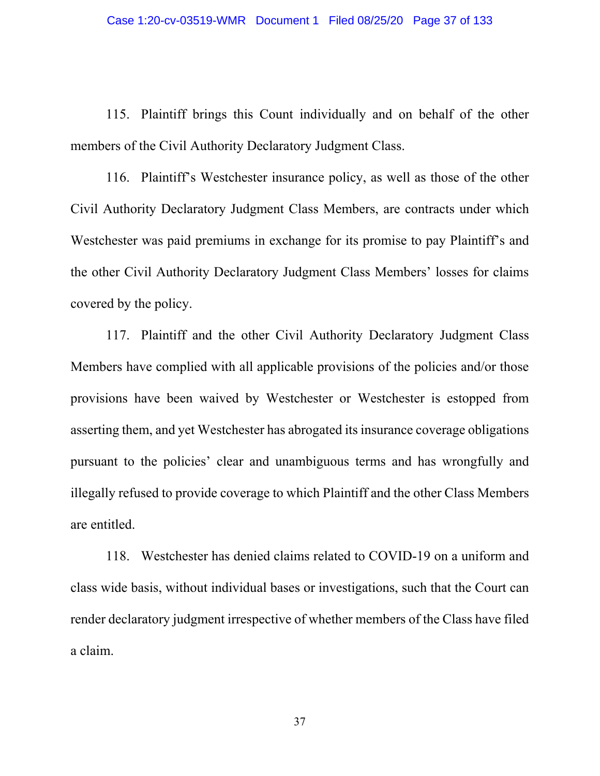115. Plaintiff brings this Count individually and on behalf of the other members of the Civil Authority Declaratory Judgment Class.

116. Plaintiff's Westchester insurance policy, as well as those of the other Civil Authority Declaratory Judgment Class Members, are contracts under which Westchester was paid premiums in exchange for its promise to pay Plaintiff's and the other Civil Authority Declaratory Judgment Class Members' losses for claims covered by the policy.

117. Plaintiff and the other Civil Authority Declaratory Judgment Class Members have complied with all applicable provisions of the policies and/or those provisions have been waived by Westchester or Westchester is estopped from asserting them, and yet Westchester has abrogated its insurance coverage obligations pursuant to the policies' clear and unambiguous terms and has wrongfully and illegally refused to provide coverage to which Plaintiff and the other Class Members are entitled.

118. Westchester has denied claims related to COVID-19 on a uniform and class wide basis, without individual bases or investigations, such that the Court can render declaratory judgment irrespective of whether members of the Class have filed a claim.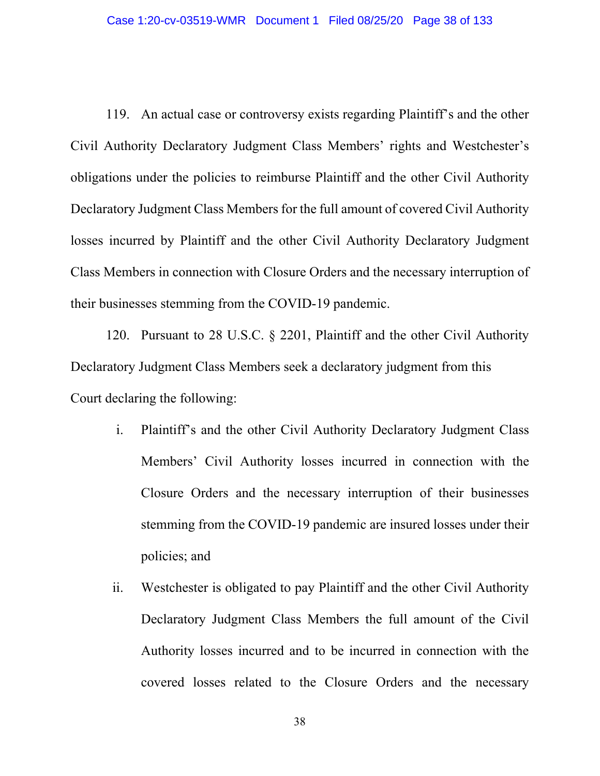119. An actual case or controversy exists regarding Plaintiff's and the other Civil Authority Declaratory Judgment Class Members' rights and Westchester's obligations under the policies to reimburse Plaintiff and the other Civil Authority Declaratory Judgment Class Members for the full amount of covered Civil Authority losses incurred by Plaintiff and the other Civil Authority Declaratory Judgment Class Members in connection with Closure Orders and the necessary interruption of their businesses stemming from the COVID-19 pandemic.

120. Pursuant to 28 U.S.C. § 2201, Plaintiff and the other Civil Authority Declaratory Judgment Class Members seek a declaratory judgment from this Court declaring the following:

- i. Plaintiff's and the other Civil Authority Declaratory Judgment Class Members' Civil Authority losses incurred in connection with the Closure Orders and the necessary interruption of their businesses stemming from the COVID-19 pandemic are insured losses under their policies; and
- ii. Westchester is obligated to pay Plaintiff and the other Civil Authority Declaratory Judgment Class Members the full amount of the Civil Authority losses incurred and to be incurred in connection with the covered losses related to the Closure Orders and the necessary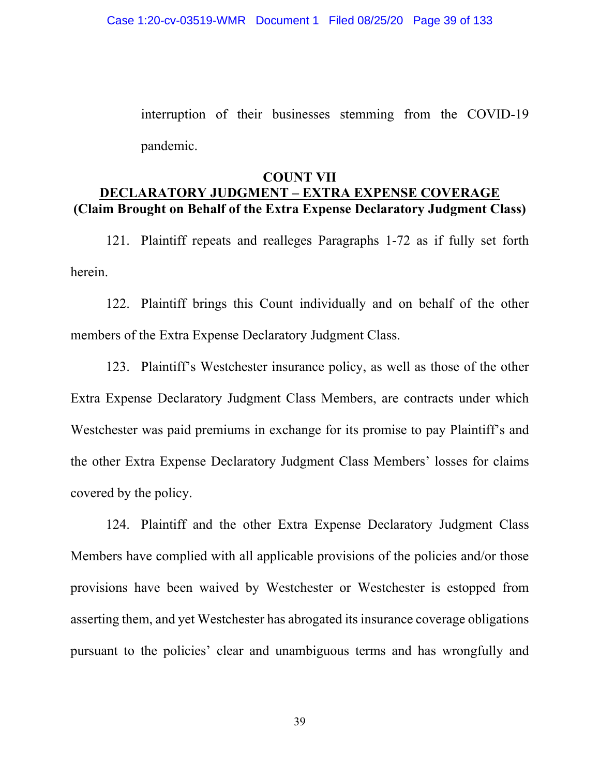interruption of their businesses stemming from the COVID-19 pandemic.

#### **COUNT VII DECLARATORY JUDGMENT – EXTRA EXPENSE COVERAGE (Claim Brought on Behalf of the Extra Expense Declaratory Judgment Class)**

121. Plaintiff repeats and realleges Paragraphs 1-72 as if fully set forth herein.

122. Plaintiff brings this Count individually and on behalf of the other members of the Extra Expense Declaratory Judgment Class.

123. Plaintiff's Westchester insurance policy, as well as those of the other Extra Expense Declaratory Judgment Class Members, are contracts under which Westchester was paid premiums in exchange for its promise to pay Plaintiff's and the other Extra Expense Declaratory Judgment Class Members' losses for claims covered by the policy.

124. Plaintiff and the other Extra Expense Declaratory Judgment Class Members have complied with all applicable provisions of the policies and/or those provisions have been waived by Westchester or Westchester is estopped from asserting them, and yet Westchester has abrogated its insurance coverage obligations pursuant to the policies' clear and unambiguous terms and has wrongfully and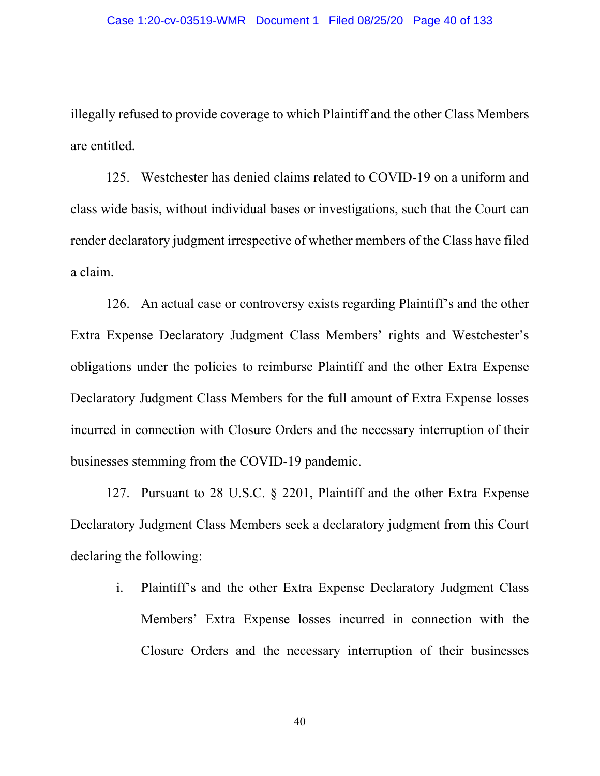illegally refused to provide coverage to which Plaintiff and the other Class Members are entitled.

125. Westchester has denied claims related to COVID-19 on a uniform and class wide basis, without individual bases or investigations, such that the Court can render declaratory judgment irrespective of whether members of the Class have filed a claim.

126. An actual case or controversy exists regarding Plaintiff's and the other Extra Expense Declaratory Judgment Class Members' rights and Westchester's obligations under the policies to reimburse Plaintiff and the other Extra Expense Declaratory Judgment Class Members for the full amount of Extra Expense losses incurred in connection with Closure Orders and the necessary interruption of their businesses stemming from the COVID-19 pandemic.

127. Pursuant to 28 U.S.C. § 2201, Plaintiff and the other Extra Expense Declaratory Judgment Class Members seek a declaratory judgment from this Court declaring the following:

i. Plaintiff's and the other Extra Expense Declaratory Judgment Class Members' Extra Expense losses incurred in connection with the Closure Orders and the necessary interruption of their businesses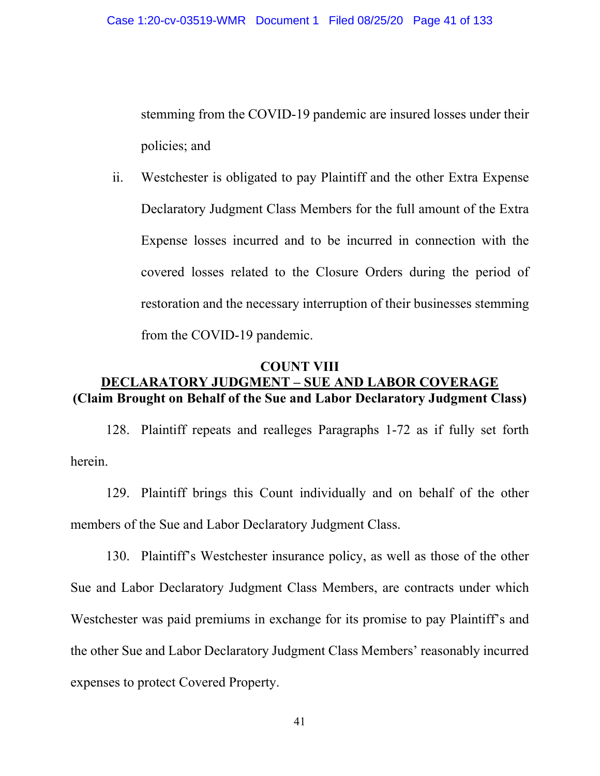stemming from the COVID-19 pandemic are insured losses under their policies; and

ii. Westchester is obligated to pay Plaintiff and the other Extra Expense Declaratory Judgment Class Members for the full amount of the Extra Expense losses incurred and to be incurred in connection with the covered losses related to the Closure Orders during the period of restoration and the necessary interruption of their businesses stemming from the COVID-19 pandemic.

### **COUNT VIII DECLARATORY JUDGMENT – SUE AND LABOR COVERAGE (Claim Brought on Behalf of the Sue and Labor Declaratory Judgment Class)**

128. Plaintiff repeats and realleges Paragraphs 1-72 as if fully set forth herein.

129. Plaintiff brings this Count individually and on behalf of the other members of the Sue and Labor Declaratory Judgment Class.

130. Plaintiff's Westchester insurance policy, as well as those of the other Sue and Labor Declaratory Judgment Class Members, are contracts under which Westchester was paid premiums in exchange for its promise to pay Plaintiff's and the other Sue and Labor Declaratory Judgment Class Members' reasonably incurred expenses to protect Covered Property.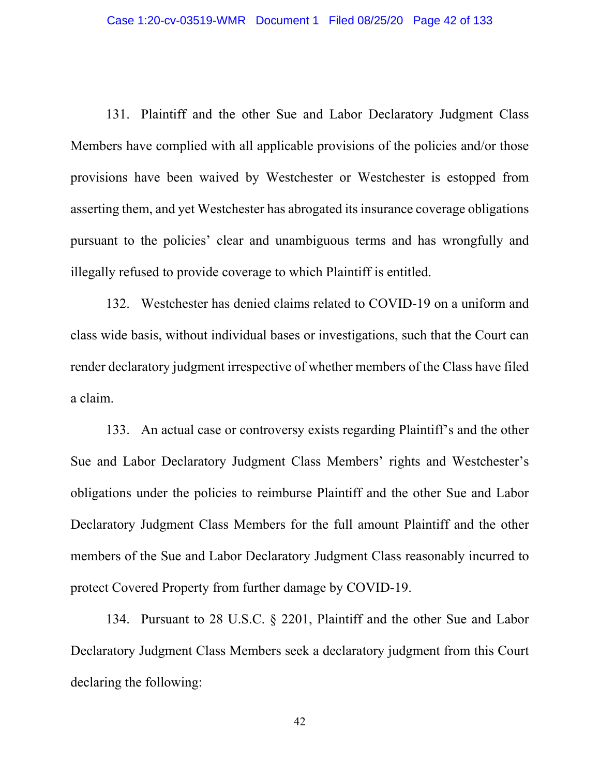131. Plaintiff and the other Sue and Labor Declaratory Judgment Class Members have complied with all applicable provisions of the policies and/or those provisions have been waived by Westchester or Westchester is estopped from asserting them, and yet Westchester has abrogated its insurance coverage obligations pursuant to the policies' clear and unambiguous terms and has wrongfully and illegally refused to provide coverage to which Plaintiff is entitled.

132. Westchester has denied claims related to COVID-19 on a uniform and class wide basis, without individual bases or investigations, such that the Court can render declaratory judgment irrespective of whether members of the Class have filed a claim.

133. An actual case or controversy exists regarding Plaintiff's and the other Sue and Labor Declaratory Judgment Class Members' rights and Westchester's obligations under the policies to reimburse Plaintiff and the other Sue and Labor Declaratory Judgment Class Members for the full amount Plaintiff and the other members of the Sue and Labor Declaratory Judgment Class reasonably incurred to protect Covered Property from further damage by COVID-19.

134. Pursuant to 28 U.S.C. § 2201, Plaintiff and the other Sue and Labor Declaratory Judgment Class Members seek a declaratory judgment from this Court declaring the following: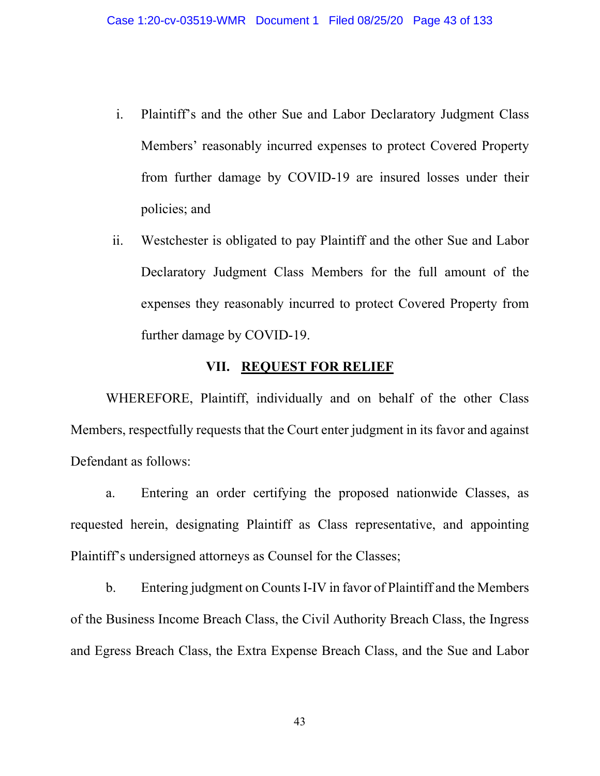- i. Plaintiff's and the other Sue and Labor Declaratory Judgment Class Members' reasonably incurred expenses to protect Covered Property from further damage by COVID-19 are insured losses under their policies; and
- ii. Westchester is obligated to pay Plaintiff and the other Sue and Labor Declaratory Judgment Class Members for the full amount of the expenses they reasonably incurred to protect Covered Property from further damage by COVID-19.

#### **VII. REQUEST FOR RELIEF**

WHEREFORE, Plaintiff, individually and on behalf of the other Class Members, respectfully requests that the Court enter judgment in its favor and against Defendant as follows:

a. Entering an order certifying the proposed nationwide Classes, as requested herein, designating Plaintiff as Class representative, and appointing Plaintiff's undersigned attorneys as Counsel for the Classes;

b. Entering judgment on Counts I-IV in favor of Plaintiff and the Members of the Business Income Breach Class, the Civil Authority Breach Class, the Ingress and Egress Breach Class, the Extra Expense Breach Class, and the Sue and Labor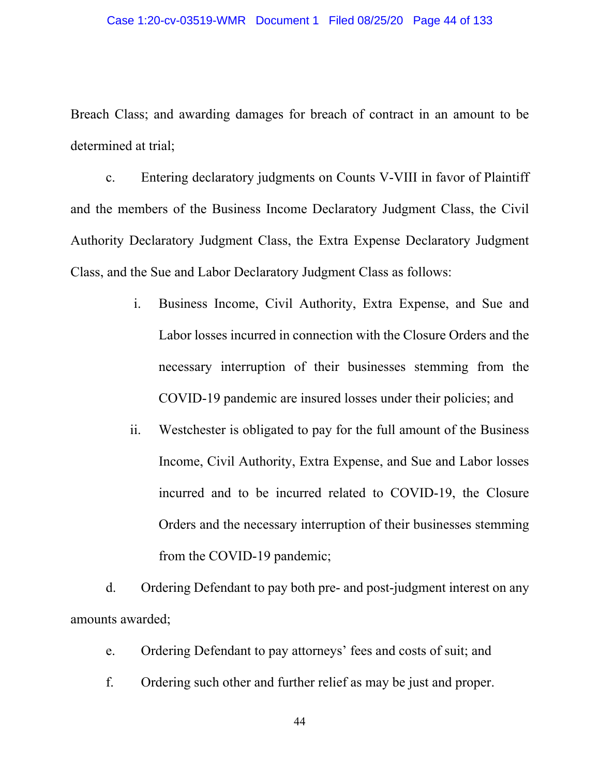Breach Class; and awarding damages for breach of contract in an amount to be determined at trial;

c. Entering declaratory judgments on Counts V-VIII in favor of Plaintiff and the members of the Business Income Declaratory Judgment Class, the Civil Authority Declaratory Judgment Class, the Extra Expense Declaratory Judgment Class, and the Sue and Labor Declaratory Judgment Class as follows:

- i. Business Income, Civil Authority, Extra Expense, and Sue and Labor losses incurred in connection with the Closure Orders and the necessary interruption of their businesses stemming from the COVID-19 pandemic are insured losses under their policies; and
- ii. Westchester is obligated to pay for the full amount of the Business Income, Civil Authority, Extra Expense, and Sue and Labor losses incurred and to be incurred related to COVID-19, the Closure Orders and the necessary interruption of their businesses stemming from the COVID-19 pandemic;

d. Ordering Defendant to pay both pre- and post-judgment interest on any amounts awarded;

- e. Ordering Defendant to pay attorneys' fees and costs of suit; and
- f. Ordering such other and further relief as may be just and proper.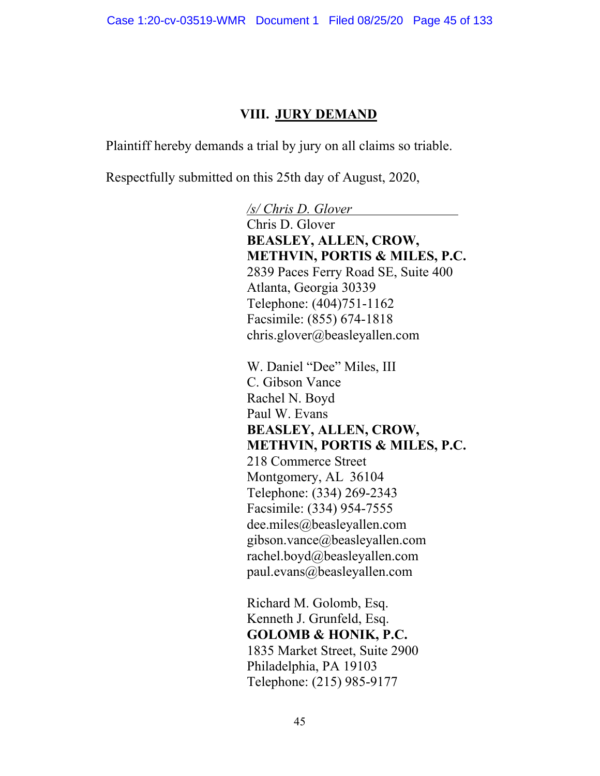## **VIII. JURY DEMAND**

Plaintiff hereby demands a trial by jury on all claims so triable.

Respectfully submitted on this 25th day of August, 2020,

*/s/ Chris D. Glover*  Chris D. Glover **BEASLEY, ALLEN, CROW, METHVIN, PORTIS & MILES, P.C.** 2839 Paces Ferry Road SE, Suite 400 Atlanta, Georgia 30339 Telephone: (404)751-1162 Facsimile: (855) 674-1818 chris.glover@beasleyallen.com

W. Daniel "Dee" Miles, III C. Gibson Vance Rachel N. Boyd Paul W. Evans **BEASLEY, ALLEN, CROW, METHVIN, PORTIS & MILES, P.C.** 218 Commerce Street Montgomery, AL 36104 Telephone: (334) 269-2343 Facsimile: (334) 954-7555 dee.miles@beasleyallen.com gibson.vance@beasleyallen.com rachel.boyd@beasleyallen.com paul.evans@beasleyallen.com

Richard M. Golomb, Esq. Kenneth J. Grunfeld, Esq. **GOLOMB & HONIK, P.C.** 1835 Market Street, Suite 2900 Philadelphia, PA 19103 Telephone: (215) 985-9177